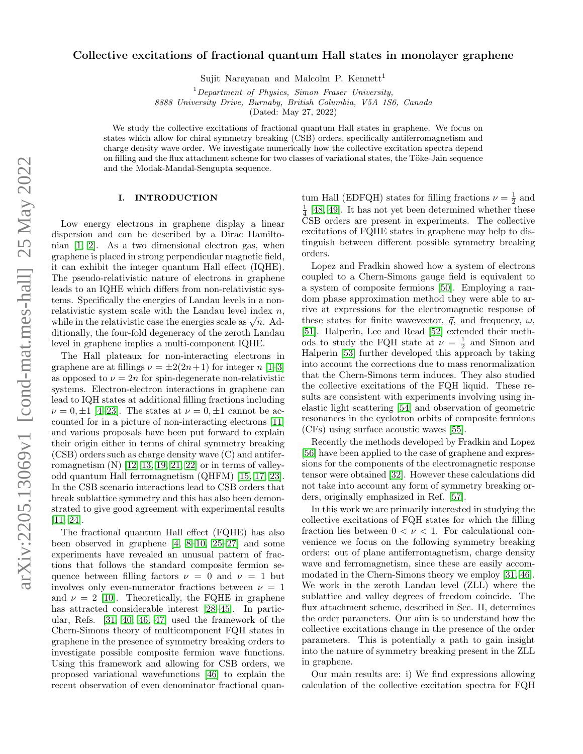## Collective excitations of fractional quantum Hall states in monolayer graphene

Sujit Narayanan and Malcolm P. Kennett<sup>1</sup>

 $1$ Department of Physics, Simon Fraser University,

8888 University Drive, Burnaby, British Columbia, V5A 1S6, Canada

(Dated: May 27, 2022)

We study the collective excitations of fractional quantum Hall states in graphene. We focus on states which allow for chiral symmetry breaking (CSB) orders, specifically antiferromagnetism and charge density wave order. We investigate numerically how the collective excitation spectra depend on filling and the flux attachment scheme for two classes of variational states, the Töke-Jain sequence and the Modak-Mandal-Sengupta sequence.

## I. INTRODUCTION

Low energy electrons in graphene display a linear dispersion and can be described by a Dirac Hamiltonian [\[1,](#page-13-0) [2\]](#page-13-1). As a two dimensional electron gas, when graphene is placed in strong perpendicular magnetic field, it can exhibit the integer quantum Hall effect (IQHE). The pseudo-relativistic nature of electrons in graphene leads to an IQHE which differs from non-relativistic systems. Specifically the energies of Landau levels in a nonrelativistic system scale with the Landau level index  $n$ , relativistic system scale with the Landau level maex  $n$ ,<br>while in the relativistic case the energies scale as  $\sqrt{n}$ . Additionally, the four-fold degeneracy of the zeroth Landau level in graphene implies a multi-component IQHE.

The Hall plateaux for non-interacting electrons in graphene are at fillings  $\nu = \pm 2(2n+1)$  for integer n [\[1](#page-13-0)[–3\]](#page-13-2) as opposed to  $\nu = 2n$  for spin-degenerate non-relativistic systems. Electron-electron interactions in graphene can lead to IQH states at additional filling fractions including  $\nu = 0, \pm 1$  [\[4](#page-13-3)[–23\]](#page-13-4). The states at  $\nu = 0, \pm 1$  cannot be accounted for in a picture of non-interacting electrons [\[11\]](#page-13-5) and various proposals have been put forward to explain their origin either in terms of chiral symmetry breaking (CSB) orders such as charge density wave (C) and antiferromagnetism  $(N)$  [\[12,](#page-13-6) [13,](#page-13-7) [19,](#page-13-8) [21,](#page-13-9) [22\]](#page-13-10) or in terms of valleyodd quantum Hall ferromagnetism (QHFM) [\[15,](#page-13-11) [17,](#page-13-12) [23\]](#page-13-4). In the CSB scenario interactions lead to CSB orders that break sublattice symmetry and this has also been demonstrated to give good agreement with experimental results [\[11,](#page-13-5) [24\]](#page-13-13).

The fractional quantum Hall effect (FQHE) has also been observed in graphene [\[4,](#page-13-3) [8–](#page-13-14)[10,](#page-13-15) [25](#page-13-16)[–27\]](#page-13-17) and some experiments have revealed an unusual pattern of fractions that follows the standard composite fermion sequence between filling factors  $\nu = 0$  and  $\nu = 1$  but involves only even-numerator fractions between  $\nu = 1$ and  $\nu = 2$  [\[10\]](#page-13-15). Theoretically, the FQHE in graphene has attracted considerable interest [\[28](#page-13-18)[–45\]](#page-13-19). In particular, Refs. [\[31,](#page-13-20) [40,](#page-13-21) [46,](#page-13-22) [47\]](#page-13-23) used the framework of the Chern-Simons theory of multicomponent FQH states in graphene in the presence of symmetry breaking orders to investigate possible composite fermion wave functions. Using this framework and allowing for CSB orders, we proposed variational wavefunctions [\[46\]](#page-13-22) to explain the recent observation of even denominator fractional quan-

tum Hall (EDFQH) states for filling fractions  $\nu = \frac{1}{2}$  and  $\frac{1}{4}$  [\[48,](#page-13-24) [49\]](#page-13-25). It has not yet been determined whether these CSB orders are present in experiments. The collective excitations of FQHE states in graphene may help to distinguish between different possible symmetry breaking orders.

Lopez and Fradkin showed how a system of electrons coupled to a Chern-Simons gauge field is equivalent to a system of composite fermions [\[50\]](#page-13-26). Employing a random phase approximation method they were able to arrive at expressions for the electromagnetic response of these states for finite wavevector,  $\vec{q}$ , and frequency,  $\omega$ , [\[51\]](#page-13-27). Halperin, Lee and Read [\[52\]](#page-13-28) extended their methods to study the FQH state at  $\nu = \frac{1}{2}$  and Simon and Halperin [\[53\]](#page-13-29) further developed this approach by taking into account the corrections due to mass renormalization that the Chern-Simons term induces. They also studied the collective excitations of the FQH liquid. These results are consistent with experiments involving using inelastic light scattering [\[54\]](#page-13-30) and observation of geometric resonances in the cyclotron orbits of composite fermions (CFs) using surface acoustic waves [\[55\]](#page-13-31).

Recently the methods developed by Fradkin and Lopez [\[56\]](#page-13-32) have been applied to the case of graphene and expressions for the components of the electromagnetic response tensor were obtained [\[32\]](#page-13-33). However these calculations did not take into account any form of symmetry breaking orders, originally emphasized in Ref. [\[57\]](#page-13-34).

In this work we are primarily interested in studying the collective excitations of FQH states for which the filling fraction lies between  $0 < \nu < 1$ . For calculational convenience we focus on the following symmetry breaking orders: out of plane antiferromagnetism, charge density wave and ferromagnetism, since these are easily accommodated in the Chern-Simons theory we employ [\[31,](#page-13-20) [46\]](#page-13-22). We work in the zeroth Landau level (ZLL) where the sublattice and valley degrees of freedom coincide. The flux attachment scheme, described in Sec. II, determines the order parameters. Our aim is to understand how the collective excitations change in the presence of the order parameters. This is potentially a path to gain insight into the nature of symmetry breaking present in the ZLL in graphene.

Our main results are: i) We find expressions allowing calculation of the collective excitation spectra for FQH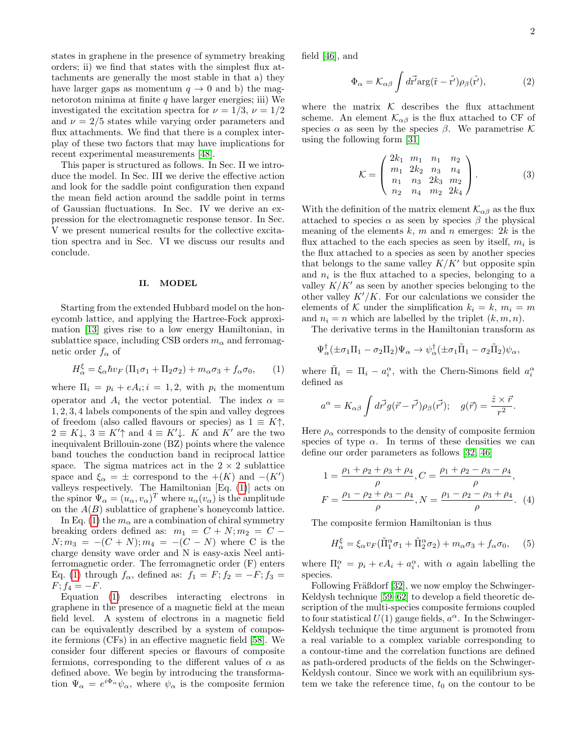states in graphene in the presence of symmetry breaking orders; ii) we find that states with the simplest flux attachments are generally the most stable in that a) they have larger gaps as momentum  $q \to 0$  and b) the magnetoroton minima at finite  $q$  have larger energies; iii) We investigated the excitation spectra for  $\nu = 1/3$ ,  $\nu = 1/2$ and  $\nu = 2/5$  states while varying order parameters and flux attachments. We find that there is a complex interplay of these two factors that may have implications for recent experimental measurements [\[48\]](#page-13-24).

This paper is structured as follows. In Sec. II we introduce the model. In Sec. III we derive the effective action and look for the saddle point configuration then expand the mean field action around the saddle point in terms of Gaussian fluctuations. In Sec. IV we derive an expression for the electromagnetic response tensor. In Sec. V we present numerical results for the collective excitation spectra and in Sec. VI we discuss our results and conclude.

#### II. MODEL

Starting from the extended Hubbard model on the honeycomb lattice, and applying the Hartree-Fock approximation [\[13\]](#page-13-7) gives rise to a low energy Hamiltonian, in sublattice space, including CSB orders  $m_{\alpha}$  and ferromagnetic order  $f_{\alpha}$  of

<span id="page-1-0"></span>
$$
H_{\alpha}^{\xi} = \xi_{\alpha} \hbar v_F (\Pi_1 \sigma_1 + \Pi_2 \sigma_2) + m_{\alpha} \sigma_3 + f_{\alpha} \sigma_0, \qquad (1)
$$

where  $\Pi_i = p_i + eA_i; i = 1, 2$ , with  $p_i$  the momentum operator and  $A_i$  the vector potential. The index  $\alpha =$ 1, 2, 3, 4 labels components of the spin and valley degrees of freedom (also called flavours or species) as  $1 \equiv K \uparrow$ ,  $2 \equiv K \downarrow$ ,  $3 \equiv K' \uparrow$  and  $4 \equiv K' \downarrow$ . K and K' are the two inequivalent Brillouin-zone (BZ) points where the valence band touches the conduction band in reciprocal lattice space. The sigma matrices act in the  $2 \times 2$  sublattice space and  $\xi_{\alpha} = \pm$  correspond to the  $+(K)$  and  $-(K')$ valleys respectively. The Hamiltonian [Eq. [\(1\)](#page-1-0)] acts on the spinor  $\Psi_{\alpha} = (u_{\alpha}, v_{\alpha})^T$  where  $u_{\alpha}(v_{\alpha})$  is the amplitude on the  $A(B)$  sublattice of graphene's honeycomb lattice.

In Eq. [\(1\)](#page-1-0) the  $m_{\alpha}$  are a combination of chiral symmetry breaking orders defined as:  $m_1 = C + N; m_2 = C N; m_3 = -(C + N); m_4 = -(C - N)$  where C is the charge density wave order and N is easy-axis Neel antiferromagnetic order. The ferromagnetic order (F) enters Eq. [\(1\)](#page-1-0) through  $f_{\alpha}$ , defined as:  $f_1 = F$ ;  $f_2 = -F$ ;  $f_3 =$  $F; f_4 = -F.$ 

Equation [\(1\)](#page-1-0) describes interacting electrons in graphene in the presence of a magnetic field at the mean field level. A system of electrons in a magnetic field can be equivalently described by a system of composite fermions (CFs) in an effective magnetic field [\[58\]](#page-13-35). We consider four different species or flavours of composite fermions, corresponding to the different values of  $\alpha$  as defined above. We begin by introducing the transformation  $\Psi_{\alpha} = e^{i\Phi_{\alpha}} \psi_{\alpha}$ , where  $\psi_{\alpha}$  is the composite fermion

field [\[46\]](#page-13-22), and

$$
\Phi_{\alpha} = \mathcal{K}_{\alpha\beta} \int d\vec{r'} \text{arg}(\tilde{r} - \tilde{r'}) \rho_{\beta}(\tilde{r'}), \tag{2}
$$

where the matrix  $K$  describes the flux attachment scheme. An element  $\mathcal{K}_{\alpha\beta}$  is the flux attached to CF of species  $\alpha$  as seen by the species  $\beta$ . We parametrise K using the following form [\[31\]](#page-13-20)

$$
\mathcal{K} = \begin{pmatrix} 2k_1 & m_1 & n_1 & n_2 \\ m_1 & 2k_2 & n_3 & n_4 \\ n_1 & n_3 & 2k_3 & m_2 \\ n_2 & n_4 & m_2 & 2k_4 \end{pmatrix} . \tag{3}
$$

With the definition of the matrix element  $\mathcal{K}_{\alpha\beta}$  as the flux attached to species  $\alpha$  as seen by species  $\beta$  the physical meaning of the elements  $k, m$  and n emerges:  $2k$  is the flux attached to the each species as seen by itself,  $m_i$  is the flux attached to a species as seen by another species that belongs to the same valley  $K/K'$  but opposite spin and  $n_i$  is the flux attached to a species, belonging to a valley  $K/K'$  as seen by another species belonging to the other valley  $K'/K$ . For our calculations we consider the elements of K under the simplification  $k_i = k, m_i = m$ and  $n_i = n$  which are labelled by the triplet  $(k, m, n)$ .

The derivative terms in the Hamiltonian transform as

<span id="page-1-1"></span>
$$
\Psi_{\alpha}^{\dagger}(\pm \sigma_1 \Pi_1 - \sigma_2 \Pi_2) \Psi_{\alpha} \rightarrow \psi_{\alpha}^{\dagger}(\pm \sigma_1 \tilde{\Pi}_1 - \sigma_2 \tilde{\Pi}_2) \psi_{\alpha},
$$

where  $\tilde{\Pi}_i = \Pi_i - a_i^{\alpha}$ , with the Chern-Simons field  $a_i^{\alpha}$ defined as

$$
a^{\alpha} = K_{\alpha\beta} \int d\vec{r'} g(\vec{r} - \vec{r'}) \rho_{\beta}(\vec{r'}); \quad g(\vec{r}) = \frac{\hat{z} \times \vec{r}}{r^2}.
$$

Here  $\rho_{\alpha}$  corresponds to the density of composite fermion species of type  $\alpha$ . In terms of these densities we can define our order parameters as follows [\[32,](#page-13-33) [46\]](#page-13-22)

$$
1 = \frac{\rho_1 + \rho_2 + \rho_3 + \rho_4}{\rho}, C = \frac{\rho_1 + \rho_2 - \rho_3 - \rho_4}{\rho},
$$
  

$$
F = \frac{\rho_1 - \rho_2 + \rho_3 - \rho_4}{\rho}, N = \frac{\rho_1 - \rho_2 - \rho_3 + \rho_4}{\rho}. (4)
$$

The composite fermion Hamiltonian is thus

<span id="page-1-2"></span>
$$
H_{\alpha}^{\xi} = \xi_{\alpha} v_F (\tilde{\Pi}_1^{\alpha} \sigma_1 + \tilde{\Pi}_2^{\alpha} \sigma_2) + m_{\alpha} \sigma_3 + f_{\alpha} \sigma_0, \quad (5)
$$

where  $\Pi_i^{\alpha} = p_i + eA_i + a_i^{\alpha}$ , with  $\alpha$  again labelling the species.

Following Fräßdorf [\[32\]](#page-13-33), we now employ the Schwinger-Keldysh technique [\[59–](#page-13-36)[62\]](#page-13-37) to develop a field theoretic description of the multi-species composite fermions coupled to four statistical  $U(1)$  gauge fields,  $a^{\alpha}$ . In the Schwinger-Keldysh technique the time argument is promoted from a real variable to a complex variable corresponding to a contour-time and the correlation functions are defined as path-ordered products of the fields on the Schwinger-Keldysh contour. Since we work with an equilibrium system we take the reference time,  $t_0$  on the contour to be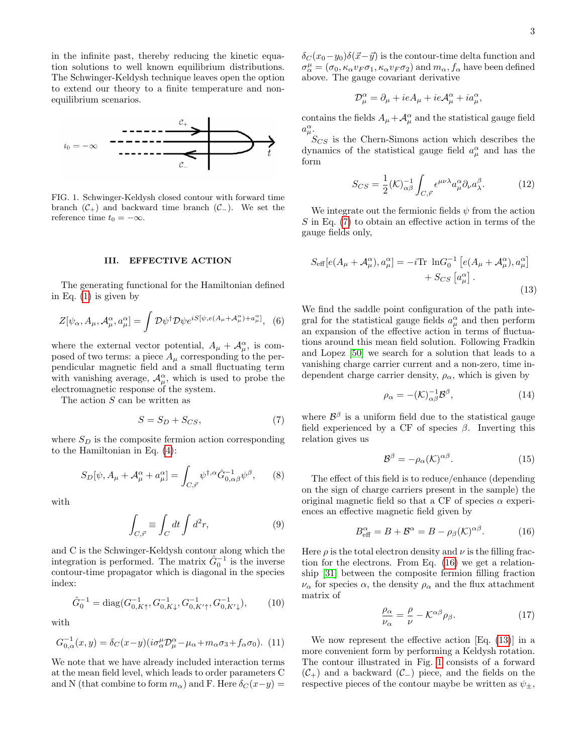in the infinite past, thereby reducing the kinetic equation solutions to well known equilibrium distributions. The Schwinger-Keldysh technique leaves open the option to extend our theory to a finite temperature and nonequilibrium scenarios.



<span id="page-2-3"></span>FIG. 1. Schwinger-Keldysh closed contour with forward time branch  $(\mathcal{C}_+)$  and backward time branch  $(\mathcal{C}_-)$ . We set the reference time  $t_0 = -\infty$ .

#### III. EFFECTIVE ACTION

The generating functional for the Hamiltonian defined in Eq. [\(1\)](#page-1-0) is given by

$$
Z[\psi_{\alpha}, A_{\mu}, \mathcal{A}_{\mu}^{\alpha}, a_{\mu}^{\alpha}] = \int \mathcal{D}\psi^{\dagger} \mathcal{D}\psi e^{iS[\psi, e(A_{\mu} + \mathcal{A}_{\mu}^{\alpha}) + a_{\mu}^{\alpha}]}, \tag{6}
$$

where the external vector potential,  $A_{\mu} + A_{\mu}^{\alpha}$ , is composed of two terms: a piece  $A_\mu$  corresponding to the perpendicular magnetic field and a small fluctuating term with vanishing average,  $\mathcal{A}_{\mu}^{\alpha}$ , which is used to probe the electromagnetic response of the system.

The action S can be written as

<span id="page-2-0"></span>
$$
S = S_D + S_{CS},\tag{7}
$$

where  $S_D$  is the composite fermion action corresponding to the Hamiltonian in Eq. [\(4\)](#page-1-1):

$$
S_D[\psi, A_\mu + \mathcal{A}_\mu^\alpha + a_\mu^\alpha] = \int_{C, \vec{r}} \psi^{\dagger, \alpha} \hat{G}_{0, \alpha \beta}^{-1} \psi^\beta, \qquad (8)
$$

with

$$
\int_{C,\vec{r}} \equiv \int_C dt \int d^2r,\tag{9}
$$

and C is the Schwinger-Keldysh contour along which the integration is performed. The matrix  $\hat{G}_0^{-1}$  is the inverse contour-time propagator which is diagonal in the species index:

$$
\hat{G}_0^{-1} = \text{diag}(G_{0,K\uparrow}^{-1}, G_{0,K\downarrow}^{-1}, G_{0,K'\uparrow}^{-1}, G_{0,K'\downarrow}^{-1}), \qquad (10)
$$

with

$$
G_{0,\alpha}^{-1}(x,y) = \delta_C(x-y)(i\sigma_\alpha^\mu \mathcal{D}_\mu^\alpha - \mu_\alpha + m_\alpha \sigma_3 + f_\alpha \sigma_0). \tag{11}
$$

We note that we have already included interaction terms at the mean field level, which leads to order parameters C and N (that combine to form  $m_{\alpha}$ ) and F. Here  $\delta_C(x-y)$  =

 $\delta_C (x_0-y_0)\delta(\vec{x}-\vec{y})$  is the contour-time delta function and  $\sigma_\alpha^\mu = (\sigma_0, \kappa_\alpha v_F \sigma_1, \kappa_\alpha v_F \sigma_2)$  and  $m_\alpha, f_\alpha$  have been defined above. The gauge covariant derivative

$$
\mathcal{D}^{\alpha}_{\mu} = \partial_{\mu} + ieA_{\mu} + ie\mathcal{A}^{\alpha}_{\mu} + ia^{\alpha}_{\mu},
$$

contains the fields  $A_{\mu} + A_{\mu}^{\alpha}$  and the statistical gauge field a  $\mu$ .

 $S_{CS}$  is the Chern-Simons action which describes the dynamics of the statistical gauge field  $a_{\mu}^{\alpha}$  and has the form

$$
S_{CS} = \frac{1}{2} (\mathcal{K})_{\alpha\beta}^{-1} \int_{C,\vec{r}} \epsilon^{\mu\nu\lambda} a_{\mu}^{\alpha} \partial_{\nu} a_{\lambda}^{\beta}.
$$
 (12)

We integrate out the fermionic fields  $\psi$  from the action  $S$  in Eq.  $(7)$  to obtain an effective action in terms of the gauge fields only,

<span id="page-2-2"></span>
$$
S_{\text{eff}}[e(A_{\mu} + A_{\mu}^{\alpha}), a_{\mu}^{\alpha}] = -i \text{Tr} \ln G_0^{-1} [e(A_{\mu} + A_{\mu}^{\alpha}), a_{\mu}^{\alpha}] + S_{CS} [\alpha_{\mu}^{\alpha}].
$$
\n(13)

We find the saddle point configuration of the path integral for the statistical gauge fields  $a^{\alpha}_{\mu}$  and then perform an expansion of the effective action in terms of fluctuations around this mean field solution. Following Fradkin and Lopez [\[50\]](#page-13-26) we search for a solution that leads to a vanishing charge carrier current and a non-zero, time independent charge carrier density,  $\rho_{\alpha}$ , which is given by

$$
\rho_{\alpha} = -(\mathcal{K})_{\alpha\beta}^{-1} \mathcal{B}^{\beta},\tag{14}
$$

where  $\mathcal{B}^{\beta}$  is a uniform field due to the statistical gauge field experienced by a CF of species  $\beta$ . Inverting this relation gives us

$$
\mathcal{B}^{\beta} = -\rho_{\alpha}(\mathcal{K})^{\alpha\beta}.
$$
 (15)

The effect of this field is to reduce/enhance (depending on the sign of charge carriers present in the sample) the original magnetic field so that a CF of species  $\alpha$  experiences an effective magnetic field given by

<span id="page-2-1"></span>
$$
B_{\text{eff}}^{\alpha} = B + \mathcal{B}^{\alpha} = B - \rho_{\beta}(\mathcal{K})^{\alpha\beta}.
$$
 (16)

Here  $\rho$  is the total electron density and  $\nu$  is the filling fraction for the electrons. From Eq. [\(16\)](#page-2-1) we get a relationship [\[31\]](#page-13-20) between the composite fermion filling fraction  $\nu_{\alpha}$  for species  $\alpha$ , the density  $\rho_{\alpha}$  and the flux attachment matrix of

$$
\frac{\rho_{\alpha}}{\nu_{\alpha}} = \frac{\rho}{\nu} - \mathcal{K}^{\alpha\beta} \rho_{\beta}.
$$
 (17)

We now represent the effective action [Eq. [\(13\)](#page-2-2)] in a more convenient form by performing a Keldysh rotation. The contour illustrated in Fig. [1](#page-2-3) consists of a forward  $(\mathcal{C}_+)$  and a backward  $(\mathcal{C}_-)$  piece, and the fields on the respective pieces of the contour maybe be written as  $\psi_{\pm}$ ,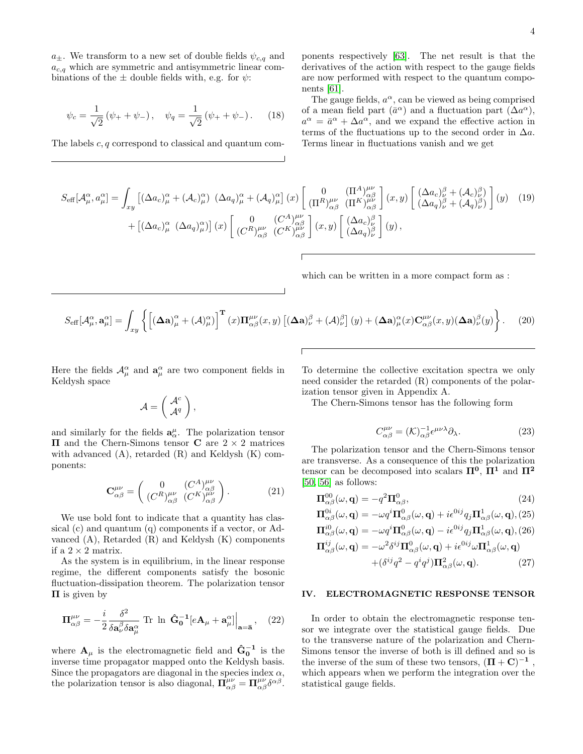$$
\psi_c = \frac{1}{\sqrt{2}} \left( \psi_+ + \psi_- \right), \quad \psi_q = \frac{1}{\sqrt{2}} \left( \psi_+ + \psi_- \right). \tag{18}
$$

The labels c, q correspond to classical and quantum com-

ponents respectively [\[63\]](#page-13-38). The net result is that the derivatives of the action with respect to the gauge fields are now performed with respect to the quantum components [\[61\]](#page-13-39).

The gauge fields,  $a^{\alpha}$ , can be viewed as being comprised of a mean field part  $(\bar{a}^{\alpha})$  and a fluctuation part  $(\Delta a^{\alpha})$ ,  $a^{\alpha} = \bar{a}^{\alpha} + \Delta a^{\alpha}$ , and we expand the effective action in terms of the fluctuations up to the second order in  $\Delta a$ . Terms linear in fluctuations vanish and we get

$$
S_{\text{eff}}[\mathcal{A}^{\alpha}_{\mu}, a^{\alpha}_{\mu}] = \int_{xy} \left[ (\Delta a_{c})^{\alpha}_{\mu} + (\mathcal{A}_{c})^{\alpha}_{\mu} \right] (\Delta a_{q})^{\alpha}_{\mu} + (\mathcal{A}_{q})^{\alpha}_{\mu} \right] (x) \left[ \begin{array}{c} 0 & (\Pi^{A})^{\mu\nu}_{\alpha\beta} \\ (\Pi^{R})^{\mu\nu}_{\alpha\beta} & (\Pi^{K})^{\mu\nu}_{\alpha\beta} \end{array} \right] (x, y) \left[ \begin{array}{c} (\Delta a_{c})^{\beta}_{\nu} + (\mathcal{A}_{c})^{\beta}_{\nu} \\ (\Delta a_{q})^{\beta}_{\nu} + (\mathcal{A}_{q})^{\beta}_{\nu} \end{array} \right] (y) \tag{19}
$$
  
+ 
$$
\left[ (\Delta a_{c})^{\alpha}_{\mu} (\Delta a_{q})^{\alpha}_{\mu} \right] (x) \left[ \begin{array}{c} 0 & (\mathcal{C}^{A})^{\mu\nu}_{\alpha\beta} \\ (\mathcal{C}^{R})^{\mu\nu}_{\alpha\beta} & (\mathcal{C}^{K})^{\mu\nu}_{\alpha\beta} \end{array} \right] (x, y) \left[ \begin{array}{c} (\Delta a_{c})^{\beta}_{\mu} \\ (\Delta a_{q})^{\beta}_{\nu} \end{array} \right] (y) ,
$$

which can be written in a more compact form as :

$$
S_{\text{eff}}[\mathcal{A}^{\alpha}_{\mu}, \mathbf{a}^{\alpha}_{\mu}] = \int_{xy} \left\{ \left[ (\boldsymbol{\Delta} \mathbf{a})^{\alpha}_{\mu} + (\mathcal{A})^{\alpha}_{\mu} \right]^{\mathbf{T}} (x) \boldsymbol{\Pi}^{\mu \nu}_{\alpha \beta}(x, y) \left[ (\boldsymbol{\Delta} \mathbf{a})^{\beta}_{\nu} + (\mathcal{A})^{\beta}_{\nu} \right] (y) + (\boldsymbol{\Delta} \mathbf{a})^{\alpha}_{\mu}(x) \mathbf{C}^{\mu \nu}_{\alpha \beta}(x, y) (\boldsymbol{\Delta} \mathbf{a})^{\beta}_{\nu}(y) \right\}.
$$
 (20)

Here the fields  $\mathcal{A}_{\mu}^{\alpha}$  and  $\mathbf{a}_{\mu}^{\alpha}$  are two component fields in Keldysh space

$$
\mathcal{A} = \left(\begin{array}{c} \mathcal{A}^c \\ \mathcal{A}^q \end{array}\right),
$$

and similarly for the fields  $\mathbf{a}^{\mu}_{\alpha}$ . The polarization tensor Π and the Chern-Simons tensor C are 2 × 2 matrices with advanced  $(A)$ , retarded  $(R)$  and Keldysh  $(K)$  components:

$$
\mathbf{C}^{\mu\nu}_{\alpha\beta} = \begin{pmatrix} 0 & (C^A)^{\mu\nu}_{\alpha\beta} \\ (C^R)^{\mu\nu}_{\alpha\beta} & (C^K)^{\mu\nu}_{\alpha\beta} \end{pmatrix} . \tag{21}
$$

We use bold font to indicate that a quantity has classical (c) and quantum (q) components if a vector, or Advanced (A), Retarded (R) and Keldysh (K) components if a  $2 \times 2$  matrix.

As the system is in equilibrium, in the linear response regime, the different components satisfy the bosonic fluctuation-dissipation theorem. The polarization tensor  $\Pi$  is given by

$$
\Pi^{\mu\nu}_{\alpha\beta} = -\frac{i}{2} \frac{\delta^2}{\delta \mathbf{a}^\beta_\nu \delta \mathbf{a}^\alpha_\mu} \text{Tr} \ln \left. \hat{\mathbf{G}}_0^{-1} [e\mathbf{A}_\mu + \mathbf{a}^\alpha_\mu] \right|_{\mathbf{a} = \mathbf{\bar{a}}}, \quad (22)
$$

where  $\mathbf{A}_{\mu}$  is the electromagnetic field and  $\hat{\mathbf{G}}_0^{-1}$  is the inverse time propagator mapped onto the Keldysh basis. Since the propagators are diagonal in the species index  $\alpha$ , the polarization tensor is also diagonal,  $\mathbf{\Pi}^{\mu\nu}_{\alpha\beta} = \mathbf{\Pi}^{\mu\nu}_{\alpha\beta}\delta^{\alpha\beta}$ .

To determine the collective excitation spectra we only need consider the retarded (R) components of the polarization tensor given in Appendix A.

The Chern-Simons tensor has the following form

$$
C^{\mu\nu}_{\alpha\beta} = (\mathcal{K})^{-1}_{\alpha\beta} \epsilon^{\mu\nu\lambda} \partial_{\lambda}.
$$
 (23)

The polarization tensor and the Chern-Simons tensor are transverse. As a consequence of this the polarization tensor can be decomposed into scalars  $\Pi^0$ ,  $\Pi^1$  and  $\Pi^2$  $[50, 56]$  $[50, 56]$  as follows:

<span id="page-3-0"></span>
$$
\Pi_{\alpha\beta}^{00}(\omega, \mathbf{q}) = -q^2 \Pi_{\alpha\beta}^0,\tag{24}
$$

$$
\Pi_{\alpha\beta}^{0i}(\omega, \mathbf{q}) = -\omega q^i \Pi_{\alpha\beta}^0(\omega, \mathbf{q}) + i\epsilon^{0ij} q_j \Pi_{\alpha\beta}^1(\omega, \mathbf{q}), (25)
$$
  

$$
\Pi_{\alpha\beta}^{i0}(\omega, \mathbf{q}) = -\omega q^i \Pi_{\alpha\beta}^0(\omega, \mathbf{q}) - i\epsilon^{0ij} q_j \Pi_{\alpha\beta}^1(\omega, \mathbf{q}), (26)
$$

$$
\Pi_{\alpha\beta}^{i0}(\omega, \mathbf{q}) = -\omega q^{i} \Pi_{\alpha\beta}^{0}(\omega, \mathbf{q}) - i\epsilon^{0ij} q_{j} \Pi_{\alpha\beta}^{1}(\omega, \mathbf{q}), (26)
$$

$$
\Pi_{\alpha\beta}^{ij}(\omega, \mathbf{q}) = -\omega^{2} \delta^{ij} \Pi_{\alpha\beta}^{0}(\omega, \mathbf{q}) + i\epsilon^{0ij} \omega \Pi_{\alpha\beta}^{1}(\omega, \mathbf{q}) + (\delta^{ij} q^{2} - q^{i} q^{j}) \Pi_{\alpha\beta}^{2}(\omega, \mathbf{q}).
$$
 (27)

# IV. ELECTROMAGNETIC RESPONSE TENSOR

In order to obtain the electromagnetic response tensor we integrate over the statistical gauge fields. Due to the transverse nature of the polarization and Chern-Simons tensor the inverse of both is ill defined and so is the inverse of the sum of these two tensors,  $(\mathbf{\Pi} + \mathbf{C})^{-1}$ , which appears when we perform the integration over the statistical gauge fields.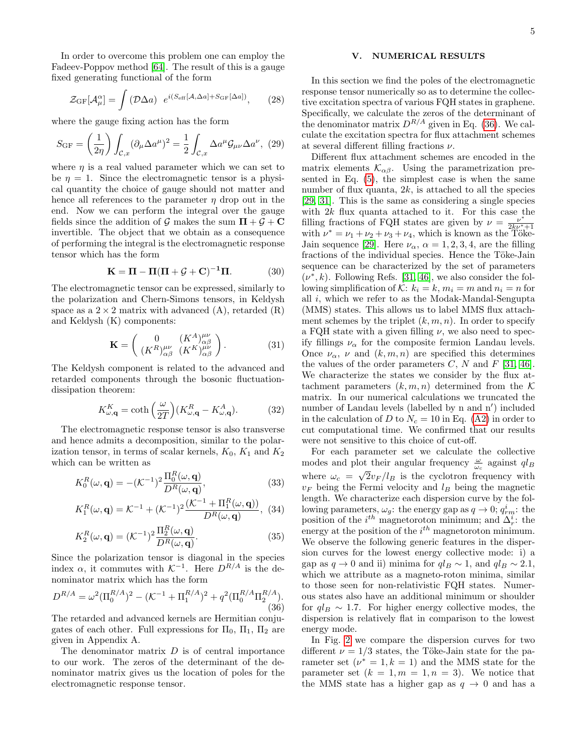In order to overcome this problem one can employ the Fadeev-Poppov method [\[64\]](#page-13-40). The result of this is a gauge fixed generating functional of the form

$$
\mathcal{Z}_{\text{GF}}[\mathcal{A}_{\mu}^{\alpha}] = \int \left(\mathcal{D}\Delta a\right) e^{i(S_{\text{eff}}[\mathcal{A}, \Delta a] + S_{\text{GF}}[\Delta a])},\tag{28}
$$

where the gauge fixing action has the form

$$
S_{\rm GF} = \left(\frac{1}{2\eta}\right) \int_{\mathcal{C},x} (\partial_{\mu} \Delta a^{\mu})^2 = \frac{1}{2} \int_{\mathcal{C},x} \Delta a^{\mu} \mathcal{G}_{\mu\nu} \Delta a^{\nu}, \tag{29}
$$

where  $\eta$  is a real valued parameter which we can set to be  $\eta = 1$ . Since the electromagnetic tensor is a physical quantity the choice of gauge should not matter and hence all references to the parameter  $\eta$  drop out in the end. Now we can perform the integral over the gauge fields since the addition of G makes the sum  $\Pi + \mathcal{G} + \mathbf{C}$ invertible. The object that we obtain as a consequence of performing the integral is the electromagnetic response tensor which has the form

<span id="page-4-1"></span>
$$
\mathbf{K} = \mathbf{\Pi} - \mathbf{\Pi}(\mathbf{\Pi} + \mathcal{G} + \mathbf{C})^{-1}\mathbf{\Pi}.
$$
 (30)

The electromagnetic tensor can be expressed, similarly to the polarization and Chern-Simons tensors, in Keldysh space as a  $2 \times 2$  matrix with advanced (A), retarded (R) and Keldysh (K) components:

$$
\mathbf{K} = \begin{pmatrix} 0 & (K^A)_{\alpha\beta}^{\mu\nu} \\ (K^R)_{\alpha\beta}^{\mu\nu} & (K^K)_{\alpha\beta}^{\mu\nu} \end{pmatrix} . \tag{31}
$$

The Keldysh component is related to the advanced and retarded components through the bosonic fluctuationdissipation theorem:

$$
K_{\omega,\mathbf{q}}^{K} = \coth\left(\frac{\omega}{2T}\right)(K_{\omega,\mathbf{q}}^{R} - K_{\omega,\mathbf{q}}^{A}).
$$
 (32)

The electromagnetic response tensor is also transverse and hence admits a decomposition, similar to the polarization tensor, in terms of scalar kernels,  $K_0$ ,  $K_1$  and  $K_2$ which can be written as

$$
K_0^R(\omega, \mathbf{q}) = -(\mathcal{K}^{-1})^2 \frac{\Pi_0^R(\omega, \mathbf{q})}{D^R(\omega, \mathbf{q})},\tag{33}
$$

$$
K_1^R(\omega, \mathbf{q}) = \mathcal{K}^{-1} + (\mathcal{K}^{-1})^2 \frac{(\mathcal{K}^{-1} + \Pi_1^R(\omega, \mathbf{q}))}{D^R(\omega, \mathbf{q})},
$$
 (34)

$$
K_2^R(\omega, \mathbf{q}) = (\mathcal{K}^{-1})^2 \frac{\Pi_2^R(\omega, \mathbf{q})}{D^R(\omega, \mathbf{q})}.
$$
 (35)

Since the polarization tensor is diagonal in the species index  $\alpha$ , it commutes with  $K^{-1}$ . Here  $D^{R/A}$  is the denominator matrix which has the form

<span id="page-4-0"></span>
$$
D^{R/A} = \omega^2 (\Pi_0^{R/A})^2 - (\mathcal{K}^{-1} + \Pi_1^{R/A})^2 + q^2 (\Pi_0^{R/A} \Pi_2^{R/A}).
$$
\n(36)

The retarded and advanced kernels are Hermitian conjugates of each other. Full expressions for  $\Pi_0$ ,  $\Pi_1$ ,  $\Pi_2$  are given in Appendix A.

The denominator matrix  $D$  is of central importance to our work. The zeros of the determinant of the denominator matrix gives us the location of poles for the electromagnetic response tensor.

## V. NUMERICAL RESULTS

In this section we find the poles of the electromagnetic response tensor numerically so as to determine the collective excitation spectra of various FQH states in graphene. Specifically, we calculate the zeros of the determinant of the denominator matrix  $D^{R/A}$  given in Eq. [\(36\)](#page-4-0). We calculate the excitation spectra for flux attachment schemes at several different filling fractions  $\nu$ .

Different flux attachment schemes are encoded in the matrix elements  $\mathcal{K}_{\alpha\beta}$ . Using the parametrization presented in Eq. [\(5\)](#page-1-2), the simplest case is when the same number of flux quanta,  $2k$ , is attached to all the species [\[29,](#page-13-41) [31\]](#page-13-20). This is the same as considering a single species with  $2k$  flux quanta attached to it. For this case the filling fractions of FQH states are given by  $\nu = \frac{\nu^*}{2k_0}$ with  $\nu^* = \nu_1 + \nu_2 + \nu_3 + \nu_4$ , which is known as the Töke-Jain sequence [\[29\]](#page-13-41). Here  $\nu_{\alpha}$ ,  $\alpha = 1, 2, 3, 4$ , are the filling fractions of the individual species. Hence the Töke-Jain sequence can be characterized by the set of parameters  $(\nu^*, k)$ . Following Refs. [\[31,](#page-13-20) [46\]](#page-13-22), we also consider the following simplification of K:  $k_i = k$ ,  $m_i = m$  and  $n_i = n$  for all i, which we refer to as the Modak-Mandal-Sengupta (MMS) states. This allows us to label MMS flux attachment schemes by the triplet  $(k, m, n)$ . In order to specify a FQH state with a given filling  $\nu$ , we also need to specify fillings  $\nu_{\alpha}$  for the composite fermion Landau levels. Once  $\nu_{\alpha}$ ,  $\nu$  and  $(k, m, n)$  are specified this determines the values of the order parameters C, N and F [\[31,](#page-13-20) [46\]](#page-13-22). We characterize the states we consider by the flux attachment parameters  $(k, m, n)$  determined from the K matrix. In our numerical calculations we truncated the number of Landau levels (labelled by n and n') included in the calculation of D to  $N_c = 10$  in Eq. [\(A2\)](#page-10-0) in order to cut computational time. We confirmed that our results were not sensitive to this choice of cut-off.

For each parameter set we calculate the collective modes and plot their angular frequency  $\frac{\omega}{\omega_c}$  against  $q l_B$ where  $\omega_c = \sqrt{2v_F/l_B}$  is the cyclotron frequency with  $v_F$  being the Fermi velocity and  $l_B$  being the magnetic length. We characterize each dispersion curve by the following parameters,  $\omega_g$ : the energy gap as  $q \to 0$ ;  $q_{rm}^i$ : the position of the  $i^{th}$  magnetoroton minimum; and  $\Delta_r^i$ : the energy at the position of the  $i^{th}$  magnetoroton minimum. We observe the following generic features in the dispersion curves for the lowest energy collective mode: i) a gap as  $q \to 0$  and ii) minima for  $q_l \sim 1$ , and  $q_l \sim 2.1$ , which we attribute as a magneto-roton minima, similar to those seen for non-relativistic FQH states. Numerous states also have an additional minimum or shoulder for  $q_l$  ∼ 1.7. For higher energy collective modes, the dispersion is relatively flat in comparison to the lowest energy mode.

In Fig. [2](#page-5-0) we compare the dispersion curves for two different  $\nu = 1/3$  states, the Töke-Jain state for the parameter set  $(\nu^* = 1, k = 1)$  and the MMS state for the parameter set  $(k = 1, m = 1, n = 3)$ . We notice that the MMS state has a higher gap as  $q \to 0$  and has a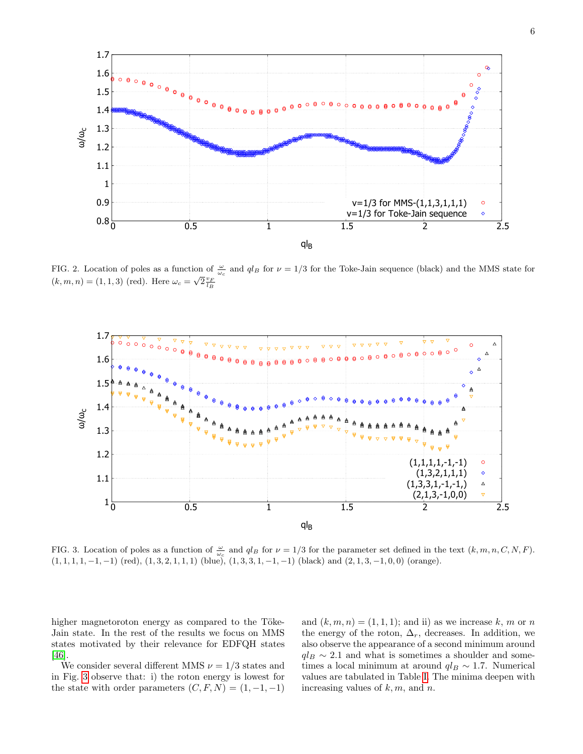

<span id="page-5-0"></span>FIG. 2. Location of poles as a function of  $\frac{\omega}{\omega_c}$  and  $q l_B$  for  $\nu = 1/3$  for the Toke-Jain sequence (black) and the MMS state for  $(k, m, n) = (1, 1, 3) \text{ (red)}.$  Here  $\omega_c = \sqrt{2} \frac{v_F}{l_B}$ 

![](_page_5_Figure_2.jpeg)

<span id="page-5-1"></span>FIG. 3. Location of poles as a function of  $\frac{\omega}{\omega_c}$  and  $q l_B$  for  $\nu = 1/3$  for the parameter set defined in the text  $(k, m, n, C, N, F)$ .  $(1, 1, 1, 1, -1, -1)$  (red),  $(1, 3, 2, 1, 1, 1)$  (blue),  $(1, 3, 3, 1, -1, -1)$  (black) and  $(2, 1, 3, -1, 0, 0)$  (orange).

higher magnetoroton energy as compared to the Töke-Jain state. In the rest of the results we focus on MMS states motivated by their relevance for EDFQH states [\[46\]](#page-13-22).

We consider several different MMS  $\nu = 1/3$  states and in Fig. [3](#page-5-1) observe that: i) the roton energy is lowest for the state with order parameters  $(C, F, N) = (1, -1, -1)$ 

and  $(k, m, n) = (1, 1, 1)$ ; and ii) as we increase k, m or n the energy of the roton,  $\Delta_r$ , decreases. In addition, we also observe the appearance of a second minimum around  $q_l$   $\sim$  2.1 and what is sometimes a shoulder and sometimes a local minimum at around  $q_l$  ~ 1.7. Numerical values are tabulated in Table [I.](#page-6-0) The minima deepen with increasing values of  $k, m$ , and  $n$ .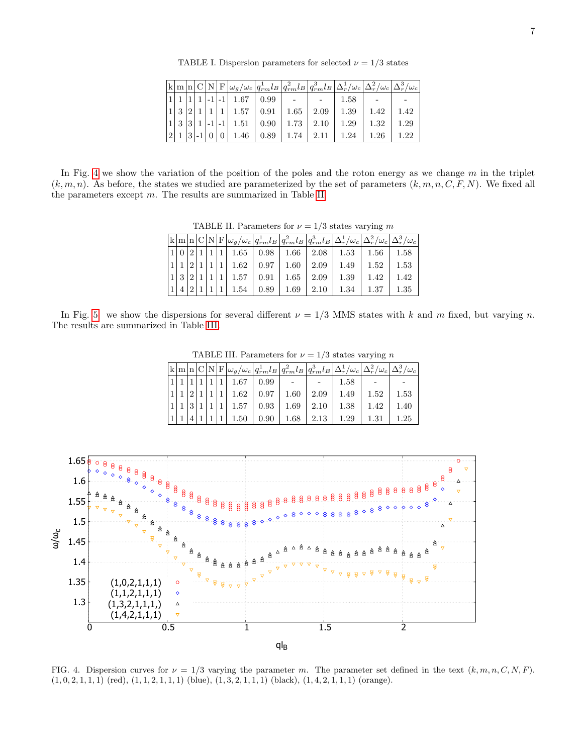<span id="page-6-0"></span>TABLE I. Dispersion parameters for selected  $\nu = 1/3$  states

|   |       |  |  |                                    |  | $\left \mathbf{k}\right \mathbf{m}\right \mathbf{n}\right \mathbf{C}\left \mathbf{N}\right \mathbf{F}\left \omega_{g}/\omega_{c}\right q_{rm}^{1}l_{B}\left q_{rm}^{2}l_{B}\right q_{rm}^{3}l_{B}\left \Delta_{r}^{1}/\omega_{c}\right \Delta_{r}^{2}/\omega_{c}\left \Delta_{r}^{3}/\omega_{c}\right \Delta_{r}^{3}/\omega_{c}\right $ |      |      |
|---|-------|--|--|------------------------------------|--|-----------------------------------------------------------------------------------------------------------------------------------------------------------------------------------------------------------------------------------------------------------------------------------------------------------------------------------------|------|------|
|   |       |  |  | $ 1 -1 -1 $ 1.67 $ 0.99 $ -        |  | 1.58                                                                                                                                                                                                                                                                                                                                    |      |      |
|   | 1 3 2 |  |  |                                    |  | 1 1 1 1.57 0.91 1.65 2.09 1.39                                                                                                                                                                                                                                                                                                          | 1.42 | 1.42 |
|   |       |  |  |                                    |  | $\vert 1 \vert 3 \vert 3 \vert 1 \vert -1 \vert -1 \vert 1.51 \vert 0.90 \vert 1.73 \vert 2.10 \vert 1.29 \vert$                                                                                                                                                                                                                        | 1.32 | 1.29 |
| 2 |       |  |  | $ 1 3 -1 0 0 1.46 0.89 1.74 2.11 $ |  | 1.24                                                                                                                                                                                                                                                                                                                                    | 1.26 | 1.22 |

In Fig. [4](#page-6-1) we show the variation of the position of the poles and the roton energy as we change  $m$  in the triplet  $(k, m, n)$ . As before, the states we studied are parameterized by the set of parameters  $(k, m, n, C, F, N)$ . We fixed all the parameters except m. The results are summarized in Table [II.](#page-6-2)

<span id="page-6-2"></span>TABLE II. Parameters for  $\nu = 1/3$  states varying m

|  |  |  |  |  | $\sqrt{\frac{1}{2} \mathbf{k} n \mathbf{C} \mathbf{N} }\mathbf{F} \omega_g/\omega_c q^1_{rm}l_B\left q^2_{rm}l_B\right q^3_{rm}l_B\left \Delta_r^1/\omega_c\right \Delta_r^2/\omega_c\left \Delta_r^3/\omega_c\right $                                                                |  |
|--|--|--|--|--|---------------------------------------------------------------------------------------------------------------------------------------------------------------------------------------------------------------------------------------------------------------------------------------|--|
|  |  |  |  |  | $ 1 0 2 1 1 1 1.65$   0.98   1.66   2.08   1.53   1.56   1.58                                                                                                                                                                                                                         |  |
|  |  |  |  |  | $\left  \frac{1}{1} \right  \left  \frac{2}{1} \right  \left  \frac{1}{1} \right  \left  \frac{1}{1.62} \right  \left  \frac{0.97}{0.97} \right  \left  \frac{1.60}{0.99} \right  \left  \frac{1.49}{1.49} \right  \left  \frac{1.52}{1.52} \right  \left  \frac{1.53}{0.53} \right $ |  |
|  |  |  |  |  |                                                                                                                                                                                                                                                                                       |  |
|  |  |  |  |  | $\left 1\right 4\left 2\right 1\left 1\right 1\left 1.54\right 0.89\left 1.69\right 2.10\left 1.34\right 1.37\left 1.35\right $                                                                                                                                                       |  |

In Fig. [5.](#page-7-0) we show the dispersions for several different  $\nu = 1/3$  MMS states with k and m fixed, but varying n. The results are summarized in Table [III.](#page-6-3)

<span id="page-6-3"></span>TABLE III. Parameters for  $\nu = 1/3$  states varying n

|  |                |     |  |                                             |  |                                       | $\big {\bf k}\big {\bf m}\big {\bf n}\big {\bf C}\big {\bf N}\big {\bf F}\big \omega_{g}/\omega_{c}\big q_{rm}^{1}l_{B}\big q_{rm}^{2}l_{B}\big q_{rm}^{3}l_{B}\big \Delta_{r}^{1}/\omega_{c}\big \Delta_{r}^{2}/\omega_{c}\big \Delta_{r}^{3}/\omega_{c}\big $ |      |
|--|----------------|-----|--|---------------------------------------------|--|---------------------------------------|-----------------------------------------------------------------------------------------------------------------------------------------------------------------------------------------------------------------------------------------------------------------|------|
|  |                |     |  | $ 1 1 1 1 1.67 0.99$ -                      |  | 1.58                                  |                                                                                                                                                                                                                                                                 |      |
|  | 2 <sup>1</sup> |     |  |                                             |  | $ 1 1 1.62$ $ 0.97 1.60$ $ 2.09 1.49$ | 1.52                                                                                                                                                                                                                                                            | 1.53 |
|  |                | 3 1 |  |                                             |  | 1 1 1.57 0.93 1.69 2.10 1.38          | 1.42                                                                                                                                                                                                                                                            | 1.40 |
|  |                |     |  | $1 \mid 1.50 \mid 0.90 \mid 1.68 \mid 2.13$ |  | 1.29                                  | 1.31                                                                                                                                                                                                                                                            | 1.25 |

![](_page_6_Figure_8.jpeg)

<span id="page-6-1"></span>FIG. 4. Dispersion curves for  $\nu = 1/3$  varying the parameter m. The parameter set defined in the text  $(k, m, n, C, N, F)$ .  $(1, 0, 2, 1, 1, 1)$  (red),  $(1, 1, 2, 1, 1, 1)$  (blue),  $(1, 3, 2, 1, 1, 1)$  (black),  $(1, 4, 2, 1, 1, 1)$  (orange).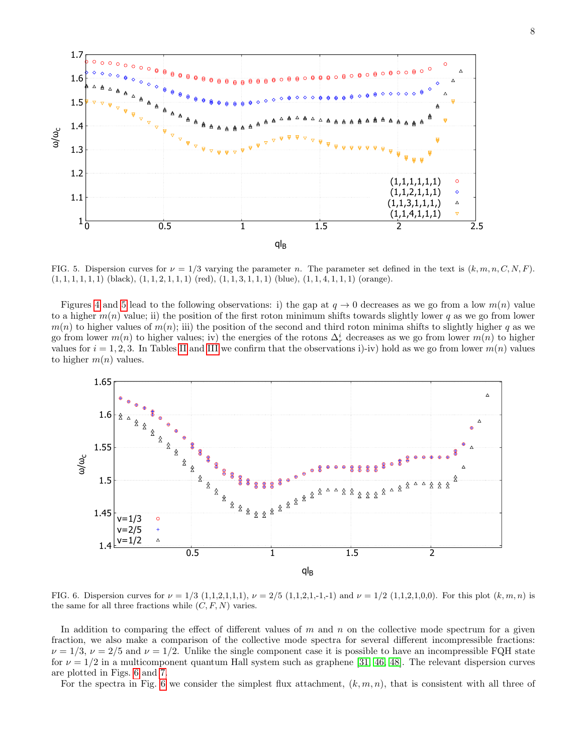![](_page_7_Figure_0.jpeg)

<span id="page-7-0"></span>FIG. 5. Dispersion curves for  $\nu = 1/3$  varying the parameter n. The parameter set defined in the text is  $(k, m, n, C, N, F)$ .  $(1, 1, 1, 1, 1, 1)$  (black),  $(1, 1, 2, 1, 1, 1)$  (red),  $(1, 1, 3, 1, 1, 1)$  (blue),  $(1, 1, 4, 1, 1, 1)$  (orange).

Figures [4](#page-6-1) and [5](#page-7-0) lead to the following observations: i) the gap at  $q \to 0$  decreases as we go from a low  $m(n)$  value to a higher  $m(n)$  value; ii) the position of the first roton minimum shifts towards slightly lower q as we go from lower  $m(n)$  to higher values of  $m(n)$ ; iii) the position of the second and third roton minima shifts to slightly higher q as we go from lower  $m(n)$  to higher values; iv) the energies of the rotons  $\Delta_r^i$  decreases as we go from lower  $m(n)$  to higher values for  $i = 1, 2, 3$ . In Tables [II](#page-6-2) and [III](#page-6-3) we confirm that the observations i)-iv) hold as we go from lower  $m(n)$  values to higher  $m(n)$  values.

![](_page_7_Figure_3.jpeg)

<span id="page-7-1"></span>FIG. 6. Dispersion curves for  $\nu = 1/3$  (1,1,2,1,1,1),  $\nu = 2/5$  (1,1,2,1,-1,-1) and  $\nu = 1/2$  (1,1,2,1,0,0). For this plot  $(k, m, n)$  is the same for all three fractions while  $(C, F, N)$  varies.

In addition to comparing the effect of different values of  $m$  and  $n$  on the collective mode spectrum for a given fraction, we also make a comparison of the collective mode spectra for several different incompressible fractions:  $\nu = 1/3$ ,  $\nu = 2/5$  and  $\nu = 1/2$ . Unlike the single component case it is possible to have an incompressible FQH state for  $\nu = 1/2$  in a multicomponent quantum Hall system such as graphene [\[31,](#page-13-20) [46,](#page-13-22) [48\]](#page-13-24). The relevant dispersion curves are plotted in Figs. [6](#page-7-1) and [7.](#page-8-0)

For the spectra in Fig. [6](#page-7-1) we consider the simplest flux attachment,  $(k, m, n)$ , that is consistent with all three of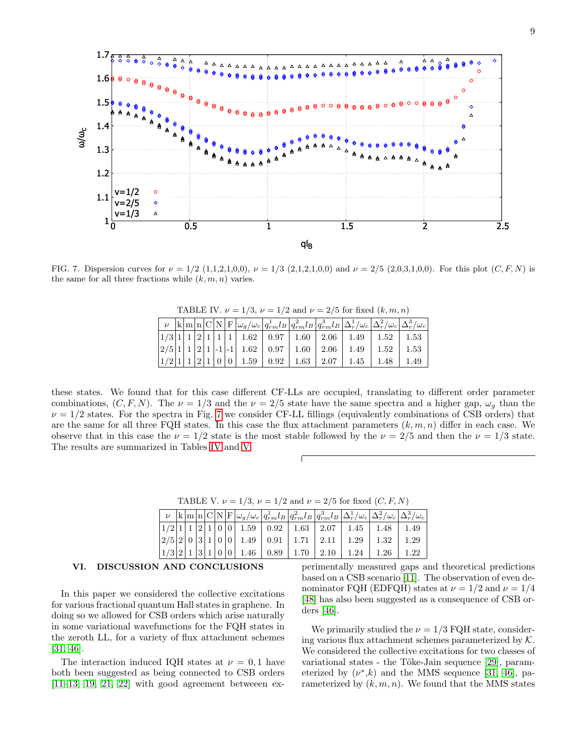![](_page_8_Figure_0.jpeg)

<span id="page-8-0"></span>FIG. 7. Dispersion curves for  $\nu = 1/2$  (1,1,2,1,0,0),  $\nu = 1/3$  (2,1,2,1,0,0) and  $\nu = 2/5$  (2,0,3,1,0,0). For this plot (C, F, N) is the same for all three fractions while  $(k, m, n)$  varies.

| <b>IADLE IV.</b> $\nu = 1/3$ , $\nu = 1/2$ and $\nu = 2/3$ for fixed $(\kappa, m, n)$ |  |  |  |  |  |                                                                               |  |  |  |                                                                                                                                    |          |                                                                                                                                                                     |  |
|---------------------------------------------------------------------------------------|--|--|--|--|--|-------------------------------------------------------------------------------|--|--|--|------------------------------------------------------------------------------------------------------------------------------------|----------|---------------------------------------------------------------------------------------------------------------------------------------------------------------------|--|
|                                                                                       |  |  |  |  |  |                                                                               |  |  |  |                                                                                                                                    |          | $\nu$  k m n C N F  $\omega_g/\omega_c$   $q_{rm}^1$   $q_{rm}^2$   $q_{rm}^3$   $q_{rm}^3$   $\Delta_r^1/\omega_c$   $\Delta_r^2/\omega_c$   $\Delta_r^3/\omega_c$ |  |
|                                                                                       |  |  |  |  |  |                                                                               |  |  |  | $1/3\left 1\right 1\left 2\right 1\left 1\right 1\left 1.62\right 0.97\left 1.60\right 2.06\left 1.49\right 1.52\left 1.53\right $ |          |                                                                                                                                                                     |  |
|                                                                                       |  |  |  |  |  |                                                                               |  |  |  | $2/5\left 1\right 1\left 2\right 1\left -1\right -1\left 1.62\right $ 0.97   1.60   2.06   1.49                                    | $1.52\,$ | $1.53\,$                                                                                                                                                            |  |
|                                                                                       |  |  |  |  |  | $1/2$   $1$   $1$   $2$   $1$   $0$   $0$   $1.59$   $0.92$   $1.63$   $2.07$ |  |  |  | 1.45                                                                                                                               | 1.48     | 1.49                                                                                                                                                                |  |

<span id="page-8-1"></span>TABLE IV.  $\nu = 1/3$ ,  $\nu = 1/2$  and  $\nu = 2/5$  for fixed  $(k, m, n)$ 

these states. We found that for this case different CF-LLs are occupied, translating to different order parameter combinations,  $(C, F, N)$ . The  $\nu = 1/3$  and the  $\nu = 2/5$  state have the same spectra and a higher gap,  $\omega_q$  than the  $\nu = 1/2$  states. For the spectra in Fig. [7](#page-8-0) we consider CF-LL fillings (equivalently combinations of CSB orders) that are the same for all three FQH states. In this case the flux attachment parameters  $(k, m, n)$  differ in each case. We observe that in this case the  $\nu = 1/2$  state is the most stable followed by the  $\nu = 2/5$  and then the  $\nu = 1/3$  state. The results are summarized in Tables [IV](#page-8-1) and [V.](#page-8-2)

<span id="page-8-2"></span>TABLE V.  $\nu = 1/3$ ,  $\nu = 1/2$  and  $\nu = 2/5$  for fixed  $(C, F, N)$ 

|  |  |  |  |  |                                                                                                                                           | $\nu$ k m $\ln C N F \omega_g/\omega_c q_{rm}^1l_B q_{rm}^2l_B q_{rm}^3l_B \Delta_r^1/\omega_c \Delta_r^2/\omega_c \Delta_r^3/\omega_c $  |
|--|--|--|--|--|-------------------------------------------------------------------------------------------------------------------------------------------|-------------------------------------------------------------------------------------------------------------------------------------------|
|  |  |  |  |  |                                                                                                                                           | $1/2$ 1 1 2 1 0 0 1.59 0.92 1.63 2.07 1.45 1.48 1.49                                                                                      |
|  |  |  |  |  | $\left 2/5\right 2\right 0\left 3\right 1\left 0\right 0\left 1.49\right 0.91\left 1.71\right 2.11\left 1.29\right 1.32\left 1.29\right $ |                                                                                                                                           |
|  |  |  |  |  |                                                                                                                                           | $\left 1/3\right 2\left 1\right 3\left 1\right 0\left 0\right 1.46\left 0.89\right 1.70\left 2.10\right 1.24\left 1.26\right 1.22\right $ |

#### VI. DISCUSSION AND CONCLUSIONS

In this paper we considered the collective excitations for various fractional quantum Hall states in graphene. In doing so we allowed for CSB orders which arise naturally in some variational wavefunctions for the FQH states in the zeroth LL, for a variety of flux attachment schemes [\[31,](#page-13-20) [46\]](#page-13-22).

The interaction induced IQH states at  $\nu = 0, 1$  have both been suggested as being connected to CSB orders  $[11-13, 19, 21, 22]$  $[11-13, 19, 21, 22]$  $[11-13, 19, 21, 22]$  $[11-13, 19, 21, 22]$  $[11-13, 19, 21, 22]$  with good agreement betweeen ex-

perimentally measured gaps and theoretical predictions based on a CSB scenario [\[11\]](#page-13-5). The observation of even denominator FQH (EDFQH) states at  $\nu = 1/2$  and  $\nu = 1/4$ [\[48\]](#page-13-24) has also been suggested as a consequence of CSB orders [\[46\]](#page-13-22).

We primarily studied the  $\nu = 1/3$  FQH state, considering various flux attachment schemes parameterized by  $K$ . We considered the collective excitations for two classes of variational states - the Töke-Jain sequence [\[29\]](#page-13-41), parameterized by  $(\nu^*,k)$  and the MMS sequence [\[31,](#page-13-20) [46\]](#page-13-22), parameterized by  $(k, m, n)$ . We found that the MMS states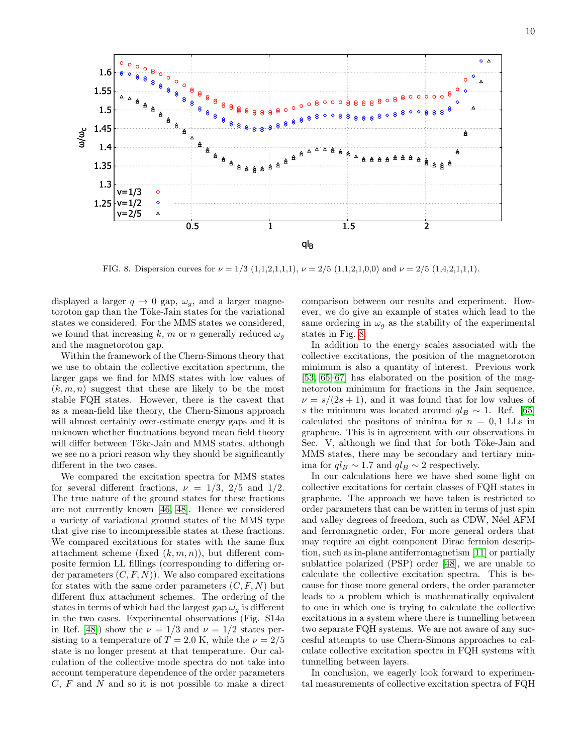![](_page_9_Figure_1.jpeg)

<span id="page-9-0"></span>FIG. 8. Dispersion curves for  $\nu = 1/3$  (1,1,2,1,1,1),  $\nu = 2/5$  (1,1,2,1,0,0) and  $\nu = 2/5$  (1,4,2,1,1,1).

displayed a larger  $q \to 0$  gap,  $\omega_g$ , and a larger magnetoroton gap than the Töke-Jain states for the variational states we considered. For the MMS states we considered, we found that increasing k, m or n generally reduced  $\omega_q$ and the magnetoroton gap.

Within the framework of the Chern-Simons theory that we use to obtain the collective excitation spectrum, the larger gaps we find for MMS states with low values of  $(k, m, n)$  suggest that these are likely to be the most stable FQH states. However, there is the caveat that as a mean-field like theory, the Chern-Simons approach will almost certainly over-estimate energy gaps and it is unknown whether fluctuations beyond mean field theory will differ between Töke-Jain and MMS states, although we see no a priori reason why they should be significantly different in the two cases.

We compared the excitation spectra for MMS states for several different fractions,  $\nu = 1/3$ ,  $2/5$  and  $1/2$ . The true nature of the ground states for these fractions are not currently known [\[46,](#page-13-22) [48\]](#page-13-24). Hence we considered a variety of variational ground states of the MMS type that give rise to incompressible states at these fractions. We compared excitations for states with the same flux attachment scheme (fixed  $(k, m, n)$ ), but different composite fermion LL fillings (corresponding to differing order parameters  $(C, F, N)$ . We also compared excitations for states with the same order parameters  $(C, F, N)$  but different flux attachment schemes. The ordering of the states in terms of which had the largest gap  $\omega_g$  is different in the two cases. Experimental observations (Fig. S14a in Ref. [\[48\]](#page-13-24)) show the  $\nu = 1/3$  and  $\nu = 1/2$  states persisting to a temperature of  $T = 2.0$  K, while the  $\nu = 2/5$ state is no longer present at that temperature. Our calculation of the collective mode spectra do not take into account temperature dependence of the order parameters  $C, F$  and  $N$  and so it is not possible to make a direct

comparison between our results and experiment. However, we do give an example of states which lead to the same ordering in  $\omega_g$  as the stability of the experimental states in Fig. [8.](#page-9-0)

In addition to the energy scales associated with the collective excitations, the position of the magnetoroton minimum is also a quantity of interest. Previous work [\[53,](#page-13-29) [65–](#page-14-0)[67\]](#page-14-1) has elaborated on the position of the magnetoroton minimum for fractions in the Jain sequence,  $\nu = s/(2s+1)$ , and it was found that for low values of s the minimum was located around  $q_l$  ~ 1. Ref. [\[65\]](#page-14-0) calculated the positons of minima for  $n = 0, 1$  LLs in graphene. This is in agreement with our observations in Sec. V, although we find that for both Töke-Jain and MMS states, there may be secondary and tertiary minima for  $q_lB \sim 1.7$  and  $q_lB \sim 2$  respectively.

In our calculations here we have shed some light on collective excitations for certain classes of FQH states in graphene. The approach we have taken is restricted to order parameters that can be written in terms of just spin and valley degrees of freedom, such as CDW, Néel AFM and ferromagnetic order, For more general orders that may require an eight component Dirac fermion description, such as in-plane antiferromagnetism [\[11\]](#page-13-5) or partially sublattice polarized (PSP) order [\[48\]](#page-13-24), we are unable to calculate the collective excitation spectra. This is because for those more general orders, the order parameter leads to a problem which is mathematically equivalent to one in which one is trying to calculate the collective excitations in a system where there is tunnelling between two separate FQH systems. We are not aware of any succesful attempts to use Chern-Simons approaches to calculate collective excitation spectra in FQH systems with tunnelling between layers.

In conclusion, we eagerly look forward to experimental measurements of collective excitation spectra of FQH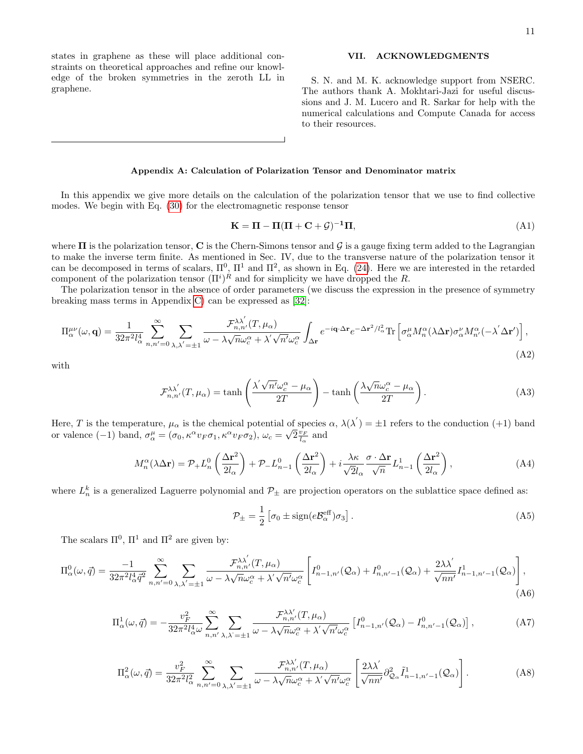states in graphene as these will place additional constraints on theoretical approaches and refine our knowledge of the broken symmetries in the zeroth LL in graphene.

## VII. ACKNOWLEDGMENTS

S. N. and M. K. acknowledge support from NSERC. The authors thank A. Mokhtari-Jazi for useful discussions and J. M. Lucero and R. Sarkar for help with the numerical calculations and Compute Canada for access to their resources.

## Appendix A: Calculation of Polarization Tensor and Denominator matrix

In this appendix we give more details on the calculation of the polarization tensor that we use to find collective modes. We begin with Eq. [\(30\)](#page-4-1) for the electromagnetic response tensor

$$
\mathbf{K} = \mathbf{\Pi} - \mathbf{\Pi}(\mathbf{\Pi} + \mathbf{C} + \mathcal{G})^{-1}\mathbf{\Pi},\tag{A1}
$$

where  $\Pi$  is the polarization tensor, C is the Chern-Simons tensor and G is a gauge fixing term added to the Lagrangian to make the inverse term finite. As mentioned in Sec. IV, due to the transverse nature of the polarization tensor it can be decomposed in terms of scalars,  $\Pi^0$ ,  $\Pi^1$  and  $\Pi^2$ , as shown in Eq. [\(24\)](#page-3-0). Here we are interested in the retarded component of the polarization tensor  $(\Pi^i)^R$  and for simplicity we have dropped the R.

The polarization tensor in the absence of order parameters (we discuss the expression in the presence of symmetry breaking mass terms in Appendix [C\)](#page-12-0) can be expressed as [\[32\]](#page-13-33):

<span id="page-10-0"></span>
$$
\Pi^{\mu\nu}_{\alpha}(\omega, \mathbf{q}) = \frac{1}{32\pi^2 l_{\alpha}^4} \sum_{n, n'=0}^{\infty} \sum_{\lambda, \lambda'= \pm 1} \frac{\mathcal{F}_{n,n'}^{\lambda\lambda'}(T, \mu_{\alpha})}{\omega - \lambda \sqrt{n} \omega_c^{\alpha} + \lambda' \sqrt{n'} \omega_c^{\alpha}} \int_{\Delta \mathbf{r}} e^{-i\mathbf{q} \cdot \Delta \mathbf{r}} e^{-\Delta \mathbf{r}^2/l_{\alpha}^2} \text{Tr} \left[ \sigma_{\alpha}^{\mu} M_n^{\alpha} (\lambda \Delta \mathbf{r}) \sigma_{\alpha}^{\nu} M_{n'}^{\alpha} (-\lambda' \Delta \mathbf{r}') \right],
$$
\n(A2)

with

$$
\mathcal{F}_{n,n'}^{\lambda\lambda'}(T,\mu_\alpha) = \tanh\left(\frac{\lambda'\sqrt{n'}\omega_c^\alpha - \mu_\alpha}{2T}\right) - \tanh\left(\frac{\lambda\sqrt{n}\omega_c^\alpha - \mu_\alpha}{2T}\right). \tag{A3}
$$

Here, T is the temperature,  $\mu_{\alpha}$  is the chemical potential of species  $\alpha$ ,  $\lambda(\lambda') = \pm 1$  refers to the conduction (+1) band or valence (-1) band,  $\sigma_{\alpha}^{\mu} = (\sigma_0, \kappa^{\alpha} v_F \sigma_1, \kappa^{\alpha} v_F \sigma_2), \omega_c = \sqrt{2} \frac{v_F}{l_{\alpha}}$  and

$$
M_n^{\alpha}(\lambda \Delta \mathbf{r}) = \mathcal{P}_+ L_n^0 \left( \frac{\Delta \mathbf{r}^2}{2l_{\alpha}} \right) + \mathcal{P}_- L_{n-1}^0 \left( \frac{\Delta \mathbf{r}^2}{2l_{\alpha}} \right) + i \frac{\lambda \kappa}{\sqrt{2}l_{\alpha}} \frac{\sigma \cdot \Delta \mathbf{r}}{\sqrt{n}} L_{n-1}^1 \left( \frac{\Delta \mathbf{r}^2}{2l_{\alpha}} \right), \tag{A4}
$$

where  $L_n^k$  is a generalized Laguerre polynomial and  $\mathcal{P}_\pm$  are projection operators on the sublattice space defined as:

$$
\mathcal{P}_{\pm} = \frac{1}{2} \left[ \sigma_0 \pm \text{sign}(e\mathcal{B}_{\alpha}^{\text{eff}}) \sigma_3 \right]. \tag{A5}
$$

The scalars  $\Pi^0$ ,  $\Pi^1$  and  $\Pi^2$  are given by:

<span id="page-10-1"></span>
$$
\Pi_{\alpha}^{0}(\omega,\vec{q}) = \frac{-1}{32\pi^{2}l_{\alpha}^{4}\vec{q}^{2}} \sum_{n,n'=0}^{\infty} \sum_{\lambda,\lambda'= \pm 1} \frac{\mathcal{F}_{n,n'}^{\lambda\lambda'}(T,\mu_{\alpha})}{\omega - \lambda\sqrt{n}\omega_{c}^{\alpha} + \lambda'\sqrt{n'}\omega_{c}^{\alpha}} \left[ I_{n-1,n'}^{0}(\mathcal{Q}_{\alpha}) + I_{n,n'-1}^{0}(\mathcal{Q}_{\alpha}) + \frac{2\lambda\lambda'}{\sqrt{nn'}} I_{n-1,n'-1}^{1}(\mathcal{Q}_{\alpha}) \right],
$$
\n(A6)

$$
\Pi_{\alpha}^{1}(\omega,\vec{q}) = -\frac{v_F^2}{32\pi^2 l_{\alpha}^4 \omega} \sum_{n,n'}^{\infty} \sum_{\lambda,\lambda'= \pm 1} \frac{\mathcal{F}_{n,n'}^{\lambda\lambda'}(T,\mu_{\alpha})}{\omega - \lambda \sqrt{n} \omega_c^{\alpha} + \lambda' \sqrt{n'} \omega_c^{\alpha}} \left[ I_{n-1,n'}^{0}(\mathcal{Q}_{\alpha}) - I_{n,n'-1}^{0}(\mathcal{Q}_{\alpha}) \right],
$$
\n(A7)

<span id="page-10-2"></span>
$$
\Pi_{\alpha}^{2}(\omega,\vec{q}) = \frac{v_{F}^{2}}{32\pi^{2}l_{\alpha}^{2}} \sum_{n,n'=0}^{\infty} \sum_{\lambda,\lambda'= \pm 1} \frac{\mathcal{F}_{n,n'}^{\lambda\lambda'}(T,\mu_{\alpha})}{\omega - \lambda\sqrt{n}\omega_{c}^{\alpha} + \lambda'\sqrt{n'}\omega_{c}^{\alpha}} \left[ \frac{2\lambda\lambda'}{\sqrt{nn'}} \partial_{\mathcal{Q}_{\alpha}}^{2} \tilde{I}_{n-1,n'-1}^{1}(\mathcal{Q}_{\alpha}) \right].
$$
 (A8)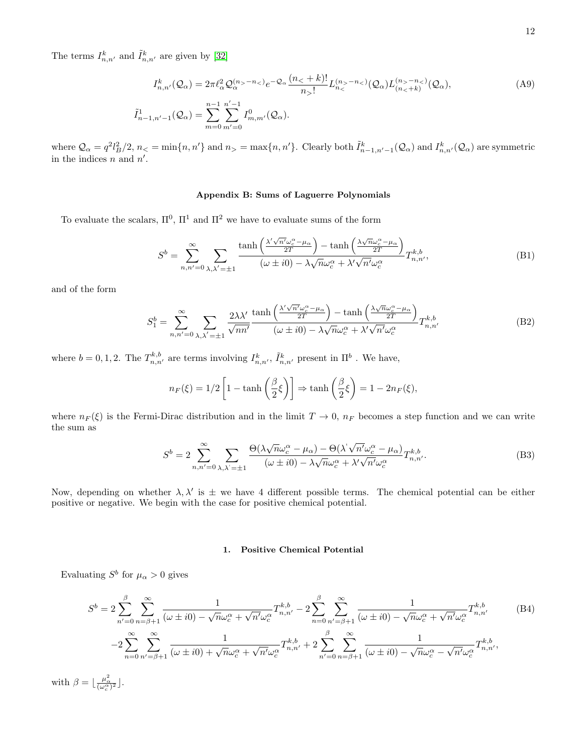The terms  $I_{n,n'}^k$  and  $\tilde{I}_{n,n'}^k$  are given by [\[32\]](#page-13-33)

$$
I_{n,n'}^k(Q_\alpha) = 2\pi \ell_\alpha^2 Q_\alpha^{(n_>-n_<)} e^{-Q_\alpha} \frac{(n_< + k)!}{n_-n_<)}(Q_\alpha) L_{(n_< + k)}^{(n_>-n_<)}(Q_\alpha),
$$
  
\n
$$
\tilde{I}_{n-1,n'-1}^1(Q_\alpha) = \sum_{m=0}^{n-1} \sum_{m'=0}^{n'-1} I_{m,m'}^0(Q_\alpha).
$$
\n(A9)

where  $\mathcal{Q}_{\alpha} = q^2 l_B^2/2$ ,  $n_< = \min\{n, n'\}$  and  $n_> = \max\{n, n'\}$ . Clearly both  $\tilde{I}_{n-1,n'-1}^k(\mathcal{Q}_{\alpha})$  and  $I_{n,n'}^k(\mathcal{Q}_{\alpha})$  are symmetric in the indices  $n$  and  $n'$ .

## Appendix B: Sums of Laguerre Polynomials

To evaluate the scalars,  $\Pi^0$ ,  $\Pi^1$  and  $\Pi^2$  we have to evaluate sums of the form

$$
S^{b} = \sum_{n,n'=0}^{\infty} \sum_{\lambda,\lambda'= \pm 1} \frac{\tanh\left(\frac{\lambda'\sqrt{n'}\omega_c^{\alpha} - \mu_{\alpha}}{2T}\right) - \tanh\left(\frac{\lambda\sqrt{n}\omega_c^{\alpha} - \mu_{\alpha}}{2T}\right)}{(\omega \pm i0) - \lambda\sqrt{n}\omega_c^{\alpha} + \lambda'\sqrt{n'}\omega_c^{\alpha}} T_{n,n'}^{k,b},
$$
(B1)

and of the form

$$
S_1^b = \sum_{n,n'=0}^{\infty} \sum_{\lambda,\lambda'= \pm 1} \frac{2\lambda\lambda'}{\sqrt{nn'}} \frac{\tanh\left(\frac{\lambda'\sqrt{n'}\omega_c^{\alpha} - \mu_{\alpha}}{2T}\right) - \tanh\left(\frac{\lambda\sqrt{n}\omega_c^{\alpha} - \mu_{\alpha}}{2T}\right)}{(\omega \pm i0) - \lambda\sqrt{n}\omega_c^{\alpha} + \lambda'\sqrt{n'}\omega_c^{\alpha}} T_{n,n'}^{k,b}
$$
(B2)

where  $b = 0, 1, 2$ . The  $T_{n,n'}^{k,b}$  are terms involving  $I_{n,n'}^k$ ,  $\tilde{I}_{n,n'}^k$  present in  $\Pi^b$ . We have,

$$
n_F(\xi) = 1/2 \left[ 1 - \tanh\left(\frac{\beta}{2}\xi\right) \right] \Rightarrow \tanh\left(\frac{\beta}{2}\xi\right) = 1 - 2n_F(\xi),
$$

where  $n_F(\xi)$  is the Fermi-Dirac distribution and in the limit  $T \to 0$ ,  $n_F$  becomes a step function and we can write the sum as

$$
S^{b} = 2 \sum_{n,n'=0}^{\infty} \sum_{\lambda,\lambda'= \pm 1} \frac{\Theta(\lambda \sqrt{n}\omega_c^{\alpha} - \mu_{\alpha}) - \Theta(\lambda^{'}\sqrt{n'}\omega_c^{\alpha} - \mu_{\alpha})}{(\omega \pm i0) - \lambda\sqrt{n}\omega_c^{\alpha} + \lambda'\sqrt{n'}\omega_c^{\alpha}} T_{n,n'}^{k,b}.
$$
 (B3)

Now, depending on whether  $\lambda$ ,  $\lambda'$  is  $\pm$  we have 4 different possible terms. The chemical potential can be either positive or negative. We begin with the case for positive chemical potential.

## 1. Positive Chemical Potential

Evaluating  $S^b$  for  $\mu_\alpha > 0$  gives

$$
S^{b} = 2 \sum_{n'=0}^{\beta} \sum_{n=\beta+1}^{\infty} \frac{1}{(\omega \pm i0) - \sqrt{n}\omega_{c}^{\alpha} + \sqrt{n'}\omega_{c}^{\alpha}} T^{k,b}_{n,n'} - 2 \sum_{n=0}^{\beta} \sum_{n'= \beta+1}^{\infty} \frac{1}{(\omega \pm i0) - \sqrt{n}\omega_{c}^{\alpha} + \sqrt{n'}\omega_{c}^{\alpha}} T^{k,b}_{n,n'} - 2 \sum_{n=0}^{\infty} \sum_{n'= \beta+1}^{\infty} \frac{1}{(\omega \pm i0) - \sqrt{n}\omega_{c}^{\alpha} + \sqrt{n'}\omega_{c}^{\alpha}} T^{k,b}_{n,n'} + 2 \sum_{n'=0}^{\beta} \sum_{n=\beta+1}^{\infty} \frac{1}{(\omega \pm i0) - \sqrt{n}\omega_{c}^{\alpha} - \sqrt{n'}\omega_{c}^{\alpha}} T^{k,b}_{n,n'},
$$
\n(B4)

with  $\beta = \lfloor \frac{\mu_{\alpha}^2}{(\omega_c^{\alpha})^2} \rfloor$ .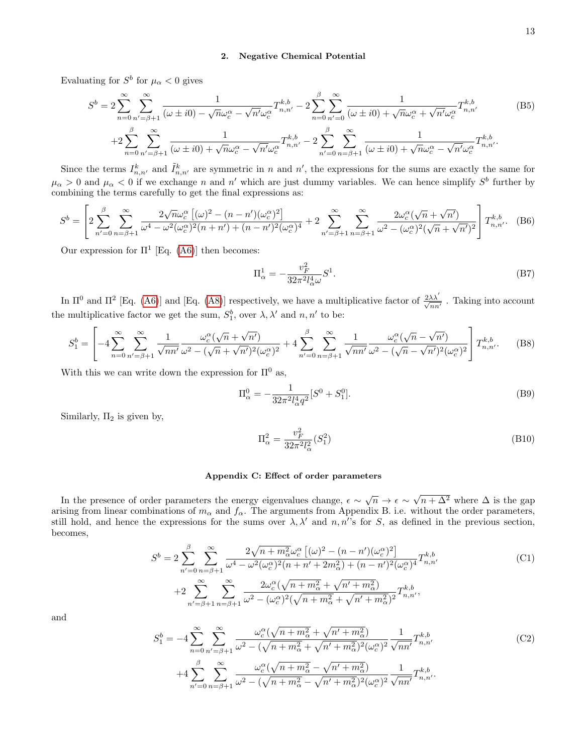# 2. Negative Chemical Potential

Evaluating for  $S^b$  for  $\mu_\alpha < 0$  gives

$$
S^{b} = 2\sum_{n=0}^{\infty} \sum_{n'= \beta+1}^{\infty} \frac{1}{(\omega \pm i0) - \sqrt{n}\omega_{c}^{\alpha} - \sqrt{n'}\omega_{c}^{\alpha}} T^{k,b}_{n,n'} - 2\sum_{n=0}^{\beta} \sum_{n'=0}^{\infty} \frac{1}{(\omega \pm i0) + \sqrt{n}\omega_{c}^{\alpha} + \sqrt{n'}\omega_{c}^{\alpha}} T^{k,b}_{n,n'} + 2\sum_{n=0}^{\beta} \sum_{n'= \beta+1}^{\infty} \frac{1}{(\omega \pm i0) + \sqrt{n}\omega_{c}^{\alpha} - \sqrt{n'}\omega_{c}^{\alpha}} T^{k,b}_{n,n'} - 2\sum_{n'=0}^{\beta} \sum_{n= \beta+1}^{\infty} \frac{1}{(\omega \pm i0) + \sqrt{n}\omega_{c}^{\alpha} - \sqrt{n'}\omega_{c}^{\alpha}} T^{k,b}_{n,n'}.
$$
\n(B5)

Since the terms  $I_{n,n'}^k$  and  $\tilde{I}_{n,n'}^k$  are symmetric in n and n', the expressions for the sums are exactly the same for  $\mu_\alpha > 0$  and  $\mu_\alpha < 0$  if we exchange n and n' which are just dummy variables. We can hence simplify  $S^b$  further by combining the terms carefully to get the final expressions as:

$$
S^{b} = \left[ 2 \sum_{n'=0}^{\beta} \sum_{n=\beta+1}^{\infty} \frac{2 \sqrt{n} \omega_c^{\alpha} \left[ (\omega)^2 - (n-n') (\omega_c^{\alpha})^2 \right]}{\omega^4 - \omega^2 (\omega_c^{\alpha})^2 (n+n') + (n-n')^2 (\omega_c^{\alpha})^4} + 2 \sum_{n'= \beta+1}^{\infty} \sum_{n=\beta+1}^{\infty} \frac{2 \omega_c^{\alpha} (\sqrt{n} + \sqrt{n'})}{\omega^2 - (\omega_c^{\alpha})^2 (\sqrt{n} + \sqrt{n'})^2} \right] T_{n,n'}^{k,b}.
$$
 (B6)

Our expression for  $\Pi^1$  [Eq. [\(A6\)](#page-10-1)] then becomes:

$$
\Pi_{\alpha}^{1} = -\frac{v_F^2}{32\pi^2 l_{\alpha}^4 \omega} S^1.
$$
\n(B7)

In  $\Pi^0$  and  $\Pi^2$  [Eq. [\(A6\)](#page-10-1)] and [Eq. [\(A8\)](#page-10-2)] respectively, we have a multiplicative factor of  $\frac{2\lambda\lambda'}{\sqrt{nn'}}$ . Taking into account the multiplicative factor we get the sum,  $S_1^b$ , over  $\lambda$ ,  $\lambda'$  and  $n$ ,  $n'$  to be:

$$
S_1^b = \left[ -4 \sum_{n=0}^{\infty} \sum_{n'= \beta+1}^{\infty} \frac{1}{\sqrt{nn'} } \frac{\omega_c^{\alpha} (\sqrt{n} + \sqrt{n'})}{\omega^2 - (\sqrt{n} + \sqrt{n'})^2 (\omega_c^{\alpha})^2} + 4 \sum_{n'=0}^{\beta} \sum_{n= \beta+1}^{\infty} \frac{1}{\sqrt{nn'} } \frac{\omega_c^{\alpha} (\sqrt{n} - \sqrt{n'})}{\omega^2 - (\sqrt{n} - \sqrt{n'})^2 (\omega_c^{\alpha})^2} \right] T_{n,n'}^{k,b}.
$$
 (B8)

With this we can write down the expression for  $\Pi^0$  as,

$$
\Pi_{\alpha}^{0} = -\frac{1}{32\pi^{2}l_{\alpha}^{4}q^{2}}[S^{0} + S_{1}^{0}].
$$
\n(B9)

Similarly,  $\Pi_2$  is given by,

$$
\Pi_{\alpha}^{2} = \frac{v_F^2}{32\pi^2 l_{\alpha}^2} (S_1^2)
$$
\n(B10)

## <span id="page-12-0"></span>Appendix C: Effect of order parameters

In the presence of order parameters the energy eigenvalues change,  $\epsilon \sim \sqrt{n} \to \epsilon \sim$  $\sqrt{n + \Delta^2}$  where  $\Delta$  is the gap arising from linear combinations of  $m_{\alpha}$  and  $f_{\alpha}$ . The arguments from Appendix B. i.e. without the order parameters, still hold, and hence the expressions for the sums over  $\lambda$ ,  $\lambda'$  and  $n$ ,  $n''$ s for S, as defined in the previous section, becomes,

$$
S^{b} = 2 \sum_{n'=0}^{\beta} \sum_{n=\beta+1}^{\infty} \frac{2\sqrt{n+m_{\alpha}^{2}} \omega_{c}^{\alpha} \left[ (\omega)^{2} - (n-n')(\omega_{c}^{\alpha})^{2} \right]}{\omega^{4} - \omega^{2}(\omega_{c}^{\alpha})^{2}(n+n'+2m_{\alpha}^{2}) + (n-n')^{2}(\omega_{c}^{\alpha})^{4}} T^{k,b}_{n,n'}
$$
(C1)  
+2
$$
\sum_{n'=\beta+1}^{\infty} \sum_{n=\beta+1}^{\infty} \frac{2\omega_{c}^{\alpha}(\sqrt{n+m_{\alpha}^{2}} + \sqrt{n'+m_{\alpha}^{2}})}{\omega^{2} - (\omega_{c}^{\alpha})^{2}(\sqrt{n+m_{\alpha}^{2}} + \sqrt{n'+m_{\alpha}^{2}})^{2}} T^{k,b}_{n,n'}
$$

and

$$
S_{1}^{b} = -4 \sum_{n=0}^{\infty} \sum_{n'= \beta+1}^{\infty} \frac{\omega_{c}^{\alpha}(\sqrt{n+m_{\alpha}^{2}} + \sqrt{n'+m_{\alpha}^{2}})}{\omega^{2} - (\sqrt{n+m_{\alpha}^{2}} + \sqrt{n'+m_{\alpha}^{2}})^{2} (\omega_{c}^{\alpha})^{2}} \frac{1}{\sqrt{n n'}} T_{n,n'}^{k,b} + 4 \sum_{n'=0}^{\beta} \sum_{n=\beta+1}^{\infty} \frac{\omega_{c}^{\alpha}(\sqrt{n+m_{\alpha}^{2}} - \sqrt{n'+m_{\alpha}^{2}})}{\omega^{2} - (\sqrt{n+m_{\alpha}^{2}} - \sqrt{n'+m_{\alpha}^{2}})^{2} (\omega_{c}^{\alpha})^{2}} \frac{1}{\sqrt{n n'}} T_{n,n'}^{k,b}.
$$
\n(C2)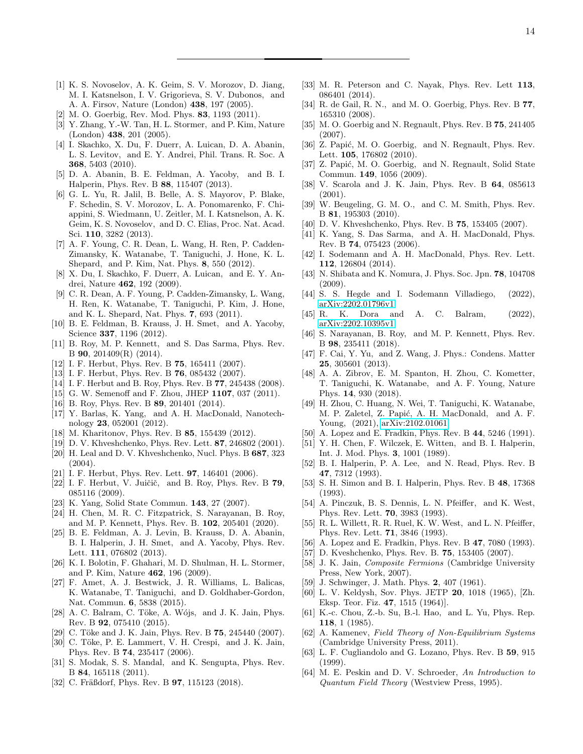- <span id="page-13-0"></span>[1] K. S. Novoselov, A. K. Geim, S. V. Morozov, D. Jiang, M. I. Katsnelson, I. V. Grigorieva, S. V. Dubonos, and A. A. Firsov, Nature (London) 438, 197 (2005).
- <span id="page-13-1"></span>[2] M. O. Goerbig, Rev. Mod. Phys. 83, 1193 (2011).
- <span id="page-13-2"></span>[3] Y. Zhang, Y.-W. Tan, H. L. Stormer, and P. Kim, Nature (London) 438, 201 (2005).
- <span id="page-13-3"></span>[4] I. Skachko, X. Du, F. Duerr, A. Luican, D. A. Abanin, L. S. Levitov, and E. Y. Andrei, Phil. Trans. R. Soc. A 368, 5403 (2010).
- [5] D. A. Abanin, B. E. Feldman, A. Yacoby, and B. I. Halperin, Phys. Rev. B 88, 115407 (2013).
- [6] G. L. Yu, R. Jalil, B. Belle, A. S. Mayorov, P. Blake, F. Schedin, S. V. Morozov, L. A. Ponomarenko, F. Chiappini, S. Wiedmann, U. Zeitler, M. I. Katsnelson, A. K. Geim, K. S. Novoselov, and D. C. Elias, Proc. Nat. Acad. Sci. 110, 3282 (2013).
- [7] A. F. Young, C. R. Dean, L. Wang, H. Ren, P. Cadden-Zimansky, K. Watanabe, T. Taniguchi, J. Hone, K. L. Shepard, and P. Kim, Nat. Phys. 8, 550 (2012).
- <span id="page-13-14"></span>[8] X. Du, I. Skachko, F. Duerr, A. Luican, and E. Y. Andrei, Nature 462, 192 (2009).
- [9] C. R. Dean, A. F. Young, P. Cadden-Zimansky, L. Wang, H. Ren, K. Watanabe, T. Taniguchi, P. Kim, J. Hone, and K. L. Shepard, Nat. Phys. 7, 693 (2011).
- <span id="page-13-15"></span>[10] B. E. Feldman, B. Krauss, J. H. Smet, and A. Yacoby, Science 337, 1196 (2012).
- <span id="page-13-5"></span>[11] B. Roy, M. P. Kennett, and S. Das Sarma, Phys. Rev. B 90, 201409(R) (2014).
- <span id="page-13-6"></span>[12] I. F. Herbut, Phys. Rev. B **75**, 165411 (2007).
- <span id="page-13-7"></span>[13] I. F. Herbut, Phys. Rev. B **76**, 085432 (2007).
- [14] I. F. Herbut and B. Roy, Phys. Rev. B 77, 245438 (2008).
- <span id="page-13-11"></span>[15] G. W. Semenoff and F. Zhou, JHEP 1107, 037 (2011).
- [16] B. Roy, Phys. Rev. B **89**, 201401 (2014).
- <span id="page-13-12"></span>[17] Y. Barlas, K. Yang, and A. H. MacDonald, Nanotechnology 23, 052001 (2012).
- [18] M. Kharitonov, Phys. Rev. B **85**, 155439 (2012).
- <span id="page-13-8"></span>[19] D. V. Khveshchenko, Phys. Rev. Lett. 87, 246802 (2001).
- [20] H. Leal and D. V. Khveshchenko, Nucl. Phys. B 687, 323 (2004).
- <span id="page-13-9"></span>[21] I. F. Herbut, Phys. Rev. Lett. 97, 146401 (2006).
- <span id="page-13-10"></span>[22] I. F. Herbut, V. Juičič, and B. Roy, Phys. Rev. B  $79$ , 085116 (2009).
- <span id="page-13-4"></span>[23] K. Yang, Solid State Commun. 143, 27 (2007).
- <span id="page-13-13"></span>[24] H. Chen, M. R. C. Fitzpatrick, S. Narayanan, B. Roy, and M. P. Kennett, Phys. Rev. B. 102, 205401 (2020).
- <span id="page-13-16"></span>[25] B. E. Feldman, A. J. Levin, B. Krauss, D. A. Abanin, B. I. Halperin, J. H. Smet, and A. Yacoby, Phys. Rev. Lett. 111, 076802 (2013).
- [26] K. I. Bolotin, F. Ghahari, M. D. Shulman, H. L. Stormer, and P. Kim, Nature 462, 196 (2009).
- <span id="page-13-17"></span>[27] F. Amet, A. J. Bestwick, J. R. Williams, L. Balicas, K. Watanabe, T. Taniguchi, and D. Goldhaber-Gordon, Nat. Commun. 6, 5838 (2015).
- <span id="page-13-18"></span>[28] A. C. Balram, C. Töke, A. Wójs, and J. K. Jain, Phys. Rev. B 92, 075410 (2015).
- <span id="page-13-41"></span>[29] C. Töke and J. K. Jain, Phys. Rev. B 75, 245440 (2007).
- [30] C. Töke, P. E. Lammert, V. H. Crespi, and J. K. Jain, Phys. Rev. B 74, 235417 (2006).
- <span id="page-13-20"></span>[31] S. Modak, S. S. Mandal, and K. Sengupta, Phys. Rev. B 84, 165118 (2011).
- <span id="page-13-33"></span>[32] C. Fräßdorf, Phys. Rev. B **97**, 115123 (2018).
- [33] M. R. Peterson and C. Nayak, Phys. Rev. Lett 113, 086401 (2014).
- [34] R. de Gail, R. N., and M. O. Goerbig, Phys. Rev. B 77, 165310 (2008).
- [35] M. O. Goerbig and N. Regnault, Phys. Rev. B 75, 241405 (2007).
- [36] Z. Papić, M. O. Goerbig, and N. Regnault, Phys. Rev. Lett. **105**, 176802 (2010).
- [37] Z. Papić, M. O. Goerbig, and N. Regnault, Solid State Commun. 149, 1056 (2009).
- [38] V. Scarola and J. K. Jain, Phys. Rev. B **64**, 085613 (2001).
- [39] W. Beugeling, G. M. O., and C. M. Smith, Phys. Rev. B 81, 195303 (2010).
- <span id="page-13-21"></span>[40] D. V. Khveshchenko, Phys. Rev. B **75**, 153405 (2007).
- [41] K. Yang, S. Das Sarma, and A. H. MacDonald, Phys. Rev. B 74, 075423 (2006).
- [42] I. Sodemann and A. H. MacDonald, Phys. Rev. Lett. 112, 126804 (2014).
- [43] N. Shibata and K. Nomura, J. Phys. Soc. Jpn. 78, 104708 (2009).
- [44] S. S. Hegde and I. Sodemann Villadiego,  $(2022)$ , [arXiv:2202.01796v1.](http://arxiv.org/abs/arXiv:2202.01796v1)
- <span id="page-13-19"></span>[45] R. K. Dora and A. C. Balram, (2022), [arXiv:2202.10395v1.](http://arxiv.org/abs/arXiv:2202.10395v1)
- <span id="page-13-22"></span>[46] S. Narayanan, B. Roy, and M. P. Kennett, Phys. Rev. B 98, 235411 (2018).
- <span id="page-13-23"></span>[47] F. Cai, Y. Yu, and Z. Wang, J. Phys.: Condens. Matter 25, 305601 (2013).
- <span id="page-13-24"></span>[48] A. A. Zibrov, E. M. Spanton, H. Zhou, C. Kometter, T. Taniguchi, K. Watanabe, and A. F. Young, Nature Phys. 14, 930 (2018).
- <span id="page-13-25"></span>[49] H. Zhou, C. Huang, N. Wei, T. Taniguchi, K. Watanabe, M. P. Zaletel, Z. Papić, A. H. MacDonald, and A. F. Young, (2021), [arXiv:2102.01061.](http://arxiv.org/abs/arXiv:2102.01061)
- <span id="page-13-26"></span>[50] A. Lopez and E. Fradkin, Phys. Rev. B 44, 5246 (1991).
- <span id="page-13-27"></span>[51] Y. H. Chen, F. Wilczek, E. Witten, and B. I. Halperin, Int. J. Mod. Phys. 3, 1001 (1989).
- <span id="page-13-28"></span>[52] B. I. Halperin, P. A. Lee, and N. Read, Phys. Rev. B 47, 7312 (1993).
- <span id="page-13-29"></span>[53] S. H. Simon and B. I. Halperin, Phys. Rev. B 48, 17368 (1993).
- <span id="page-13-30"></span>[54] A. Pinczuk, B. S. Dennis, L. N. Pfeiffer, and K. West, Phys. Rev. Lett. 70, 3983 (1993).
- <span id="page-13-31"></span>[55] R. L. Willett, R. R. Ruel, K. W. West, and L. N. Pfeiffer, Phys. Rev. Lett. 71, 3846 (1993).
- <span id="page-13-32"></span>[56] A. Lopez and E. Fradkin, Phys. Rev. B 47, 7080 (1993).
- <span id="page-13-34"></span>[57] D. Kveshchenko, Phys. Rev. B. 75, 153405 (2007).
- <span id="page-13-35"></span>[58] J. K. Jain, Composite Fermions (Cambridge University Press, New York, 2007).
- <span id="page-13-36"></span>[59] J. Schwinger, J. Math. Phys. **2**, 407 (1961).
- [60] L. V. Keldysh, Sov. Phys. JETP 20, 1018 (1965), [Zh. Eksp. Teor. Fiz. 47, 1515 (1964)].
- <span id="page-13-39"></span>[61] K.-c. Chou, Z.-b. Su, B.-l. Hao, and L. Yu, Phys. Rep. 118, 1 (1985).
- <span id="page-13-37"></span>[62] A. Kamenev, Field Theory of Non-Equilibrium Systems (Cambridge University Press, 2011).
- <span id="page-13-38"></span>[63] L. F. Cugliandolo and G. Lozano, Phys. Rev. B 59, 915 (1999).
- <span id="page-13-40"></span>[64] M. E. Peskin and D. V. Schroeder, An Introduction to Quantum Field Theory (Westview Press, 1995).